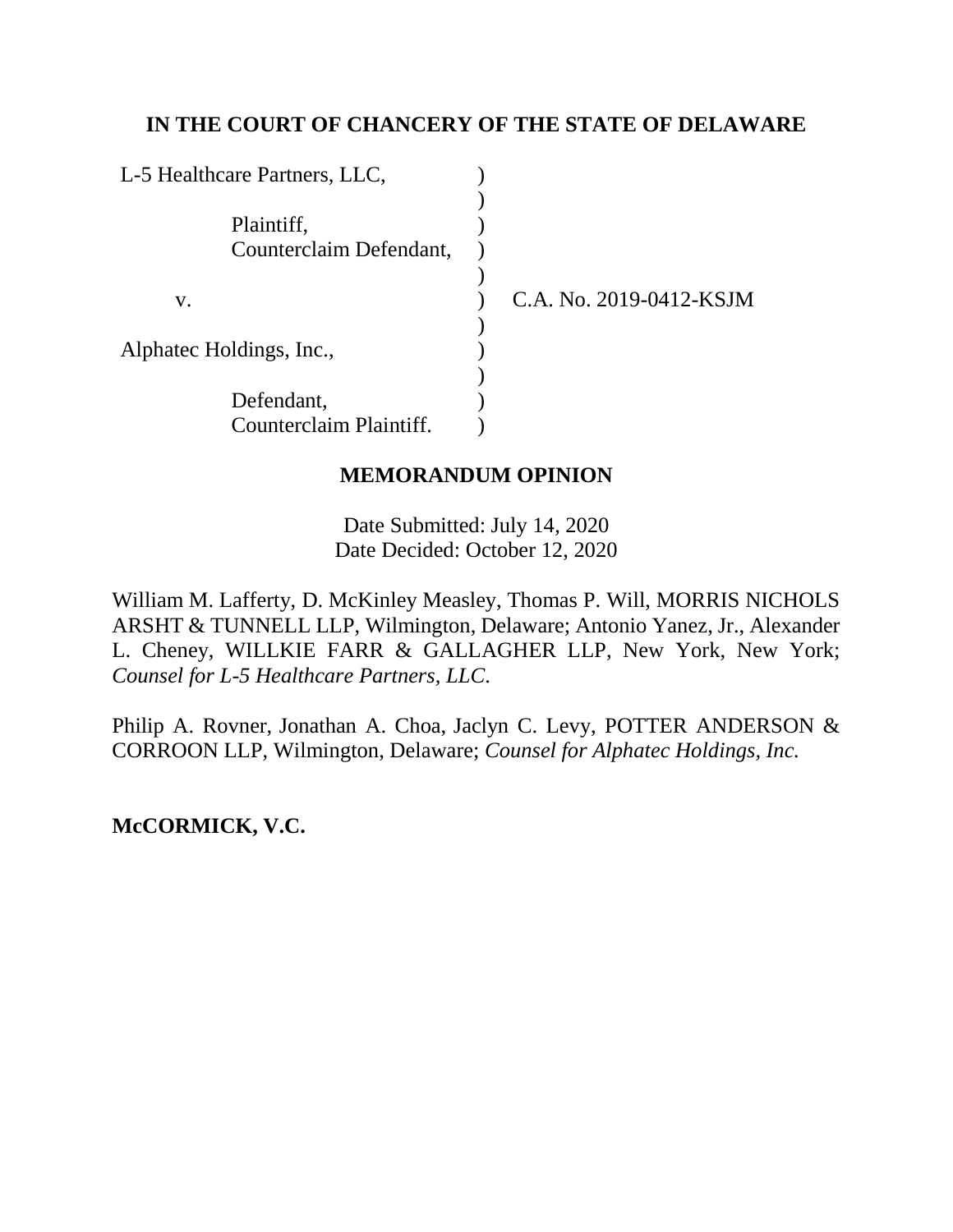# **IN THE COURT OF CHANCERY OF THE STATE OF DELAWARE**

| L-5 Healthcare Partners, LLC,         |                         |
|---------------------------------------|-------------------------|
| Plaintiff,<br>Counterclaim Defendant, |                         |
| V.                                    | C.A. No. 2019-0412-KSJM |
| Alphatec Holdings, Inc.,              |                         |
| Defendant,                            |                         |
| Counterclaim Plaintiff.               |                         |

# **MEMORANDUM OPINION**

Date Submitted: July 14, 2020 Date Decided: October 12, 2020

William M. Lafferty, D. McKinley Measley, Thomas P. Will, MORRIS NICHOLS ARSHT & TUNNELL LLP, Wilmington, Delaware; Antonio Yanez, Jr., Alexander L. Cheney, WILLKIE FARR & GALLAGHER LLP, New York, New York; *Counsel for L-5 Healthcare Partners, LLC*.

Philip A. Rovner, Jonathan A. Choa, Jaclyn C. Levy, POTTER ANDERSON & CORROON LLP, Wilmington, Delaware; *Counsel for Alphatec Holdings, Inc.*

**McCORMICK, V.C.**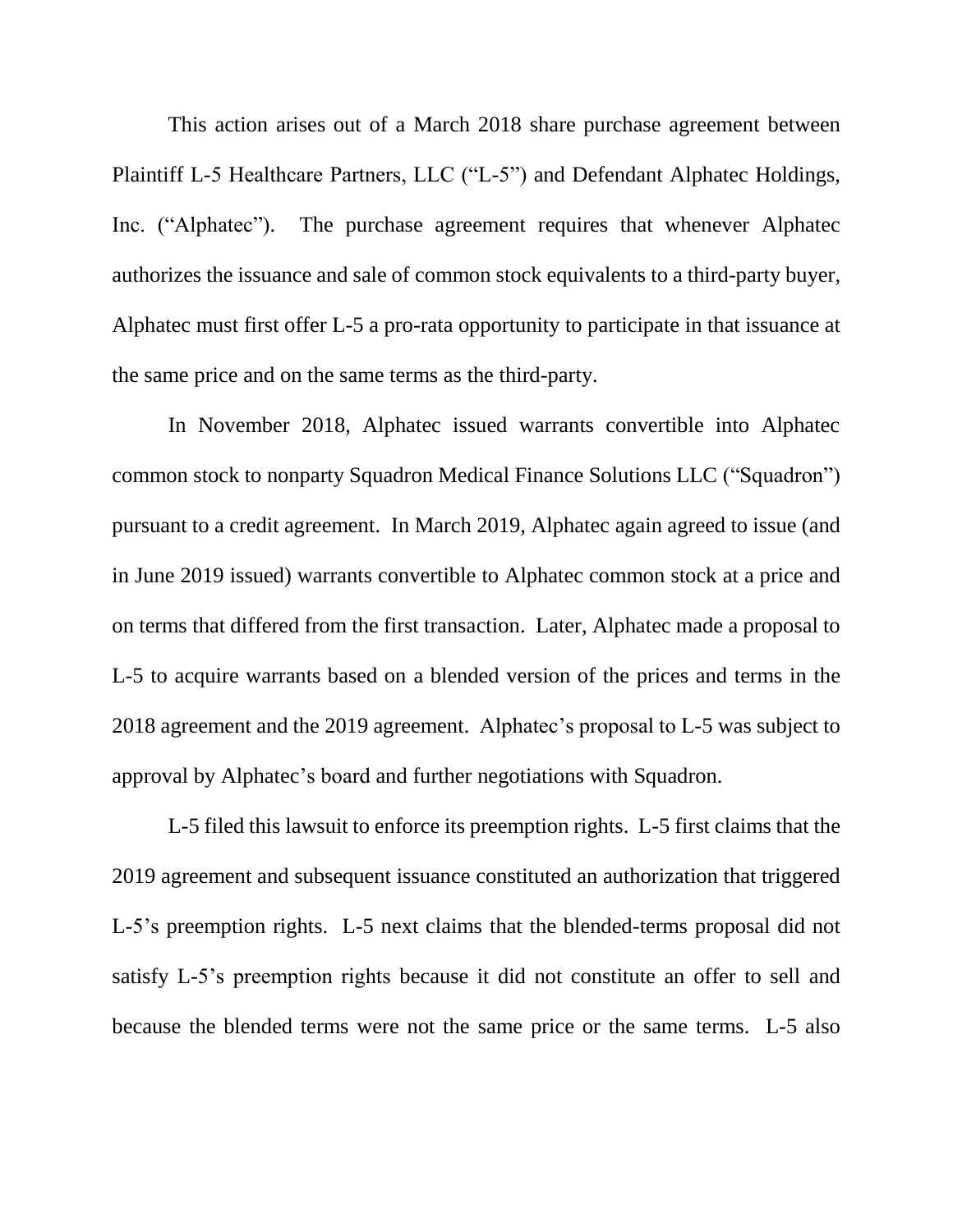This action arises out of a March 2018 share purchase agreement between Plaintiff L-5 Healthcare Partners, LLC ("L-5") and Defendant Alphatec Holdings, Inc. ("Alphatec"). The purchase agreement requires that whenever Alphatec authorizes the issuance and sale of common stock equivalents to a third-party buyer, Alphatec must first offer L-5 a pro-rata opportunity to participate in that issuance at the same price and on the same terms as the third-party.

In November 2018, Alphatec issued warrants convertible into Alphatec common stock to nonparty Squadron Medical Finance Solutions LLC ("Squadron") pursuant to a credit agreement. In March 2019, Alphatec again agreed to issue (and in June 2019 issued) warrants convertible to Alphatec common stock at a price and on terms that differed from the first transaction. Later, Alphatec made a proposal to L-5 to acquire warrants based on a blended version of the prices and terms in the 2018 agreement and the 2019 agreement. Alphatec's proposal to L-5 was subject to approval by Alphatec's board and further negotiations with Squadron.

L-5 filed this lawsuit to enforce its preemption rights. L-5 first claims that the 2019 agreement and subsequent issuance constituted an authorization that triggered L-5's preemption rights. L-5 next claims that the blended-terms proposal did not satisfy L-5's preemption rights because it did not constitute an offer to sell and because the blended terms were not the same price or the same terms. L-5 also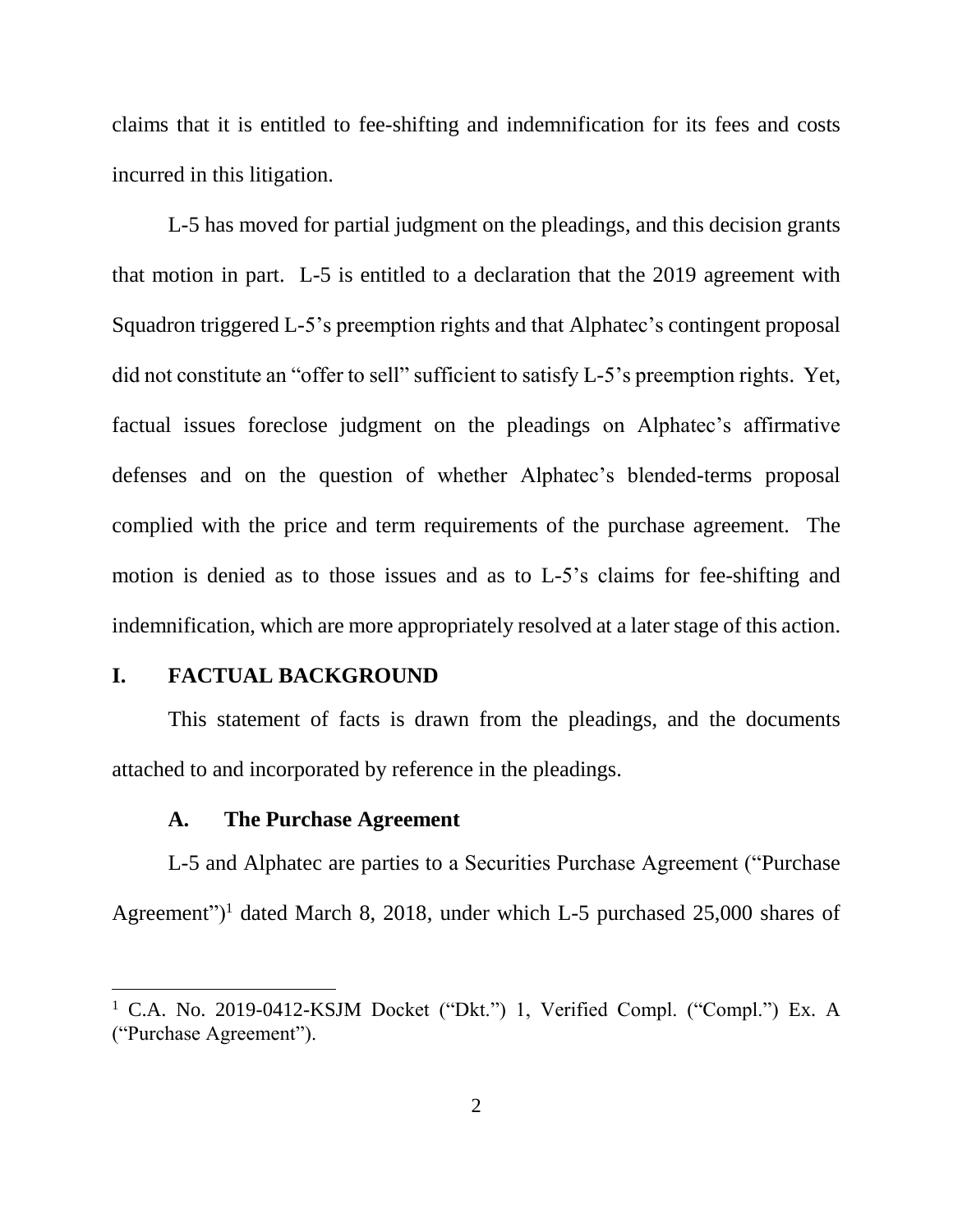claims that it is entitled to fee-shifting and indemnification for its fees and costs incurred in this litigation.

L-5 has moved for partial judgment on the pleadings, and this decision grants that motion in part. L-5 is entitled to a declaration that the 2019 agreement with Squadron triggered L-5's preemption rights and that Alphatec's contingent proposal did not constitute an "offer to sell" sufficient to satisfy L-5's preemption rights. Yet, factual issues foreclose judgment on the pleadings on Alphatec's affirmative defenses and on the question of whether Alphatec's blended-terms proposal complied with the price and term requirements of the purchase agreement. The motion is denied as to those issues and as to L-5's claims for fee-shifting and indemnification, which are more appropriately resolved at a later stage of this action.

## **I. FACTUAL BACKGROUND**

 $\overline{a}$ 

This statement of facts is drawn from the pleadings, and the documents attached to and incorporated by reference in the pleadings.

#### **A. The Purchase Agreement**

L-5 and Alphatec are parties to a Securities Purchase Agreement ("Purchase Agreement")<sup>1</sup> dated March 8, 2018, under which L-5 purchased  $25,000$  shares of

<sup>&</sup>lt;sup>1</sup> C.A. No. 2019-0412-KSJM Docket ("Dkt.") 1, Verified Compl. ("Compl.") Ex. A ("Purchase Agreement").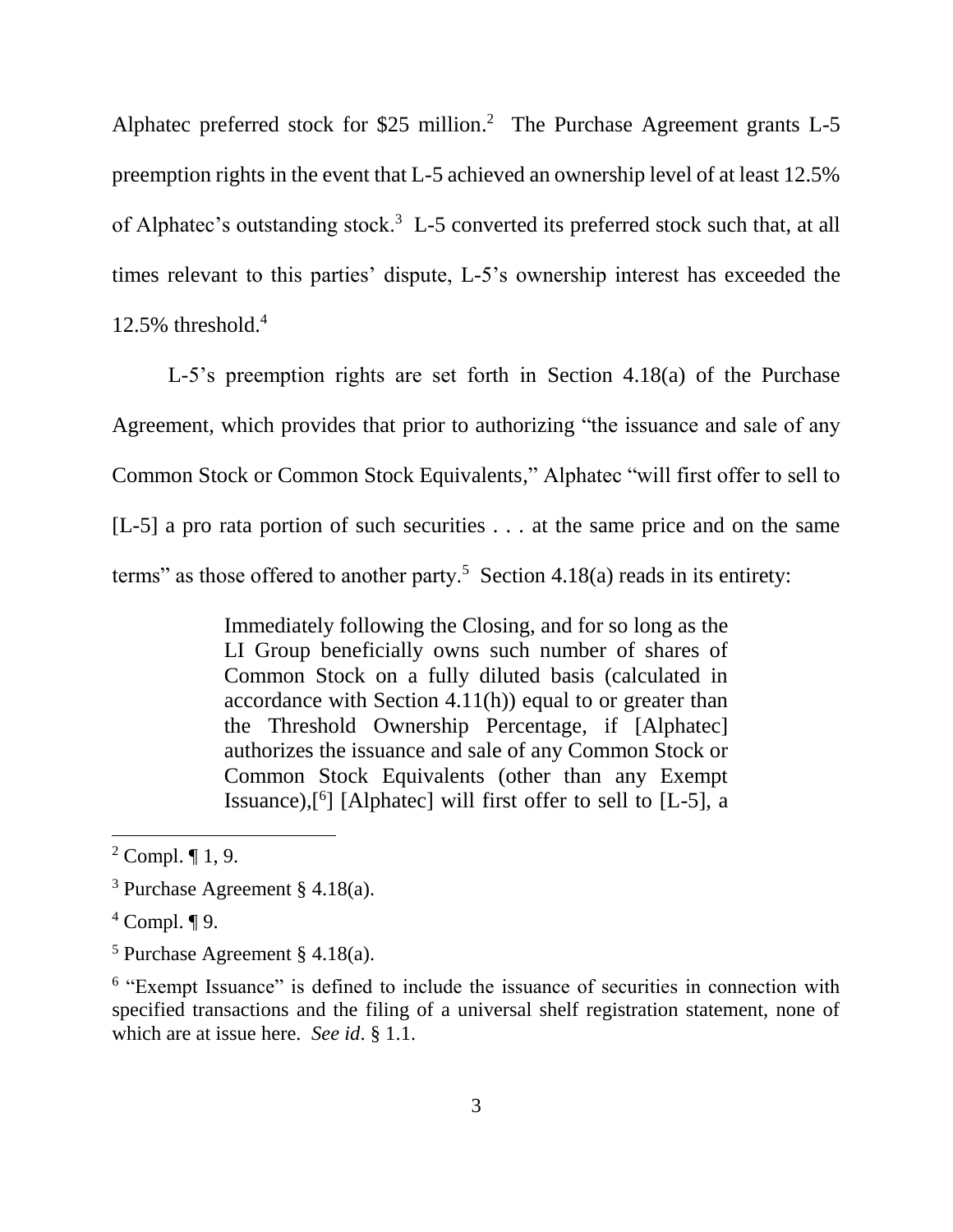Alphatec preferred stock for \$25 million. <sup>2</sup> The Purchase Agreement grants L-5 preemption rights in the event that L-5 achieved an ownership level of at least 12.5% of Alphatec's outstanding stock.<sup>3</sup> L-5 converted its preferred stock such that, at all times relevant to this parties' dispute, L-5's ownership interest has exceeded the 12.5% threshold. 4

L-5's preemption rights are set forth in Section 4.18(a) of the Purchase Agreement, which provides that prior to authorizing "the issuance and sale of any Common Stock or Common Stock Equivalents," Alphatec "will first offer to sell to [L-5] a pro rata portion of such securities . . . at the same price and on the same terms" as those offered to another party.<sup>5</sup> Section 4.18(a) reads in its entirety:

> Immediately following the Closing, and for so long as the LI Group beneficially owns such number of shares of Common Stock on a fully diluted basis (calculated in accordance with Section 4.11(h)) equal to or greater than the Threshold Ownership Percentage, if [Alphatec] authorizes the issuance and sale of any Common Stock or Common Stock Equivalents (other than any Exempt Issuance),[<sup>6</sup> ] [Alphatec] will first offer to sell to [L-5], a

 $\overline{a}$ 

<sup>6</sup> "Exempt Issuance" is defined to include the issuance of securities in connection with specified transactions and the filing of a universal shelf registration statement, none of which are at issue here. *See id*. § 1.1.

<sup>&</sup>lt;sup>2</sup> Compl.  $\P$  1, 9.

<sup>3</sup> Purchase Agreement § 4.18(a).

 $4$  Compl.  $\P$  9.

 $5$  Purchase Agreement § 4.18(a).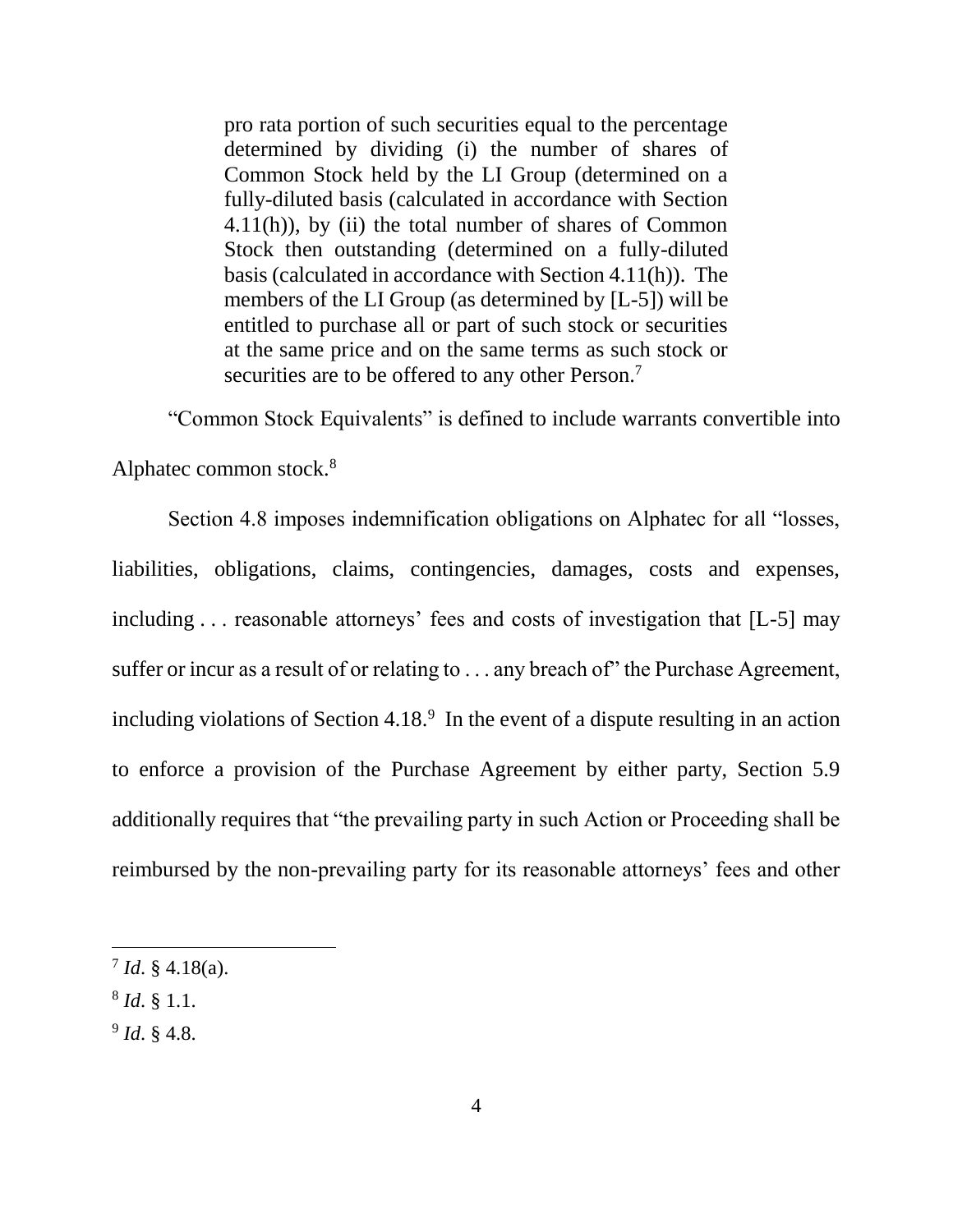pro rata portion of such securities equal to the percentage determined by dividing (i) the number of shares of Common Stock held by the LI Group (determined on a fully-diluted basis (calculated in accordance with Section 4.11(h)), by (ii) the total number of shares of Common Stock then outstanding (determined on a fully-diluted basis (calculated in accordance with Section 4.11(h)). The members of the LI Group (as determined by [L-5]) will be entitled to purchase all or part of such stock or securities at the same price and on the same terms as such stock or securities are to be offered to any other Person.<sup>7</sup>

"Common Stock Equivalents" is defined to include warrants convertible into

Alphatec common stock.<sup>8</sup>

Section 4.8 imposes indemnification obligations on Alphatec for all "losses, liabilities, obligations, claims, contingencies, damages, costs and expenses, including . . . reasonable attorneys' fees and costs of investigation that [L-5] may suffer or incur as a result of or relating to . . . any breach of the Purchase Agreement, including violations of Section 4.18. $9\,$  In the event of a dispute resulting in an action to enforce a provision of the Purchase Agreement by either party, Section 5.9 additionally requires that "the prevailing party in such Action or Proceeding shall be reimbursed by the non-prevailing party for its reasonable attorneys' fees and other

 $\overline{a}$ 

9 *Id*. § 4.8.

 $^7$  *Id.* § 4.18(a).

<sup>8</sup> *Id*. § 1.1.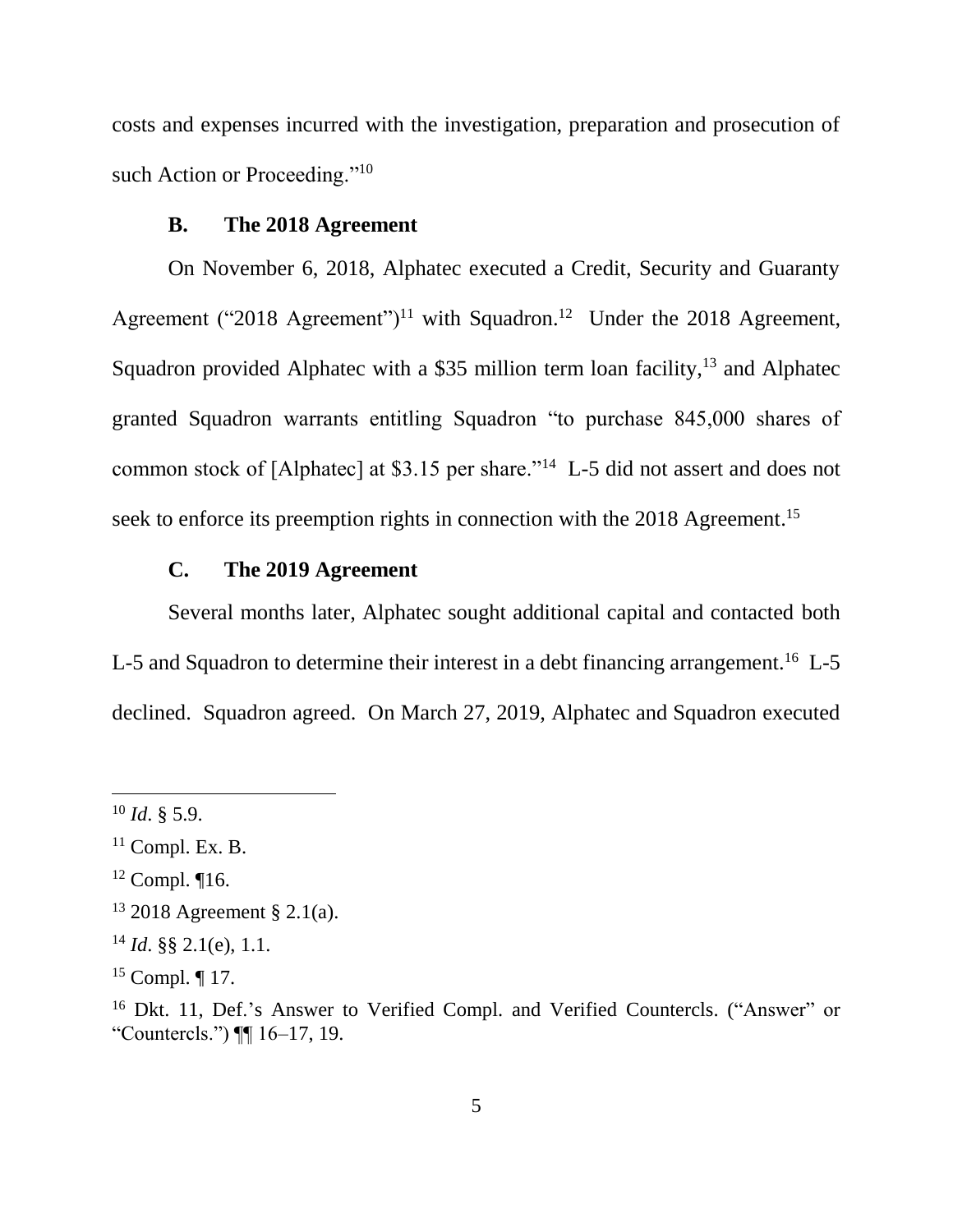costs and expenses incurred with the investigation, preparation and prosecution of such Action or Proceeding."<sup>10</sup>

## **B. The 2018 Agreement**

On November 6, 2018, Alphatec executed a Credit, Security and Guaranty Agreement ("2018 Agreement")<sup>11</sup> with Squadron.<sup>12</sup> Under the 2018 Agreement, Squadron provided Alphatec with a \$35 million term loan facility,<sup>13</sup> and Alphatec granted Squadron warrants entitling Squadron "to purchase 845,000 shares of common stock of [Alphatec] at \$3.15 per share."<sup>14</sup> L-5 did not assert and does not seek to enforce its preemption rights in connection with the 2018 Agreement.<sup>15</sup>

## **C. The 2019 Agreement**

Several months later, Alphatec sought additional capital and contacted both L-5 and Squadron to determine their interest in a debt financing arrangement.<sup>16</sup> L-5 declined. Squadron agreed. On March 27, 2019, Alphatec and Squadron executed

 $10$  *Id.* § 5.9.

 $11$  Compl. Ex. B.

<sup>12</sup> Compl. ¶16.

<sup>13</sup> 2018 Agreement § 2.1(a).

<sup>14</sup> *Id*. §§ 2.1(e), 1.1.

 $15$  Compl. ¶ 17.

<sup>16</sup> Dkt. 11, Def.'s Answer to Verified Compl. and Verified Countercls. ("Answer" or "Countercls.") ¶¶ 16–17, 19.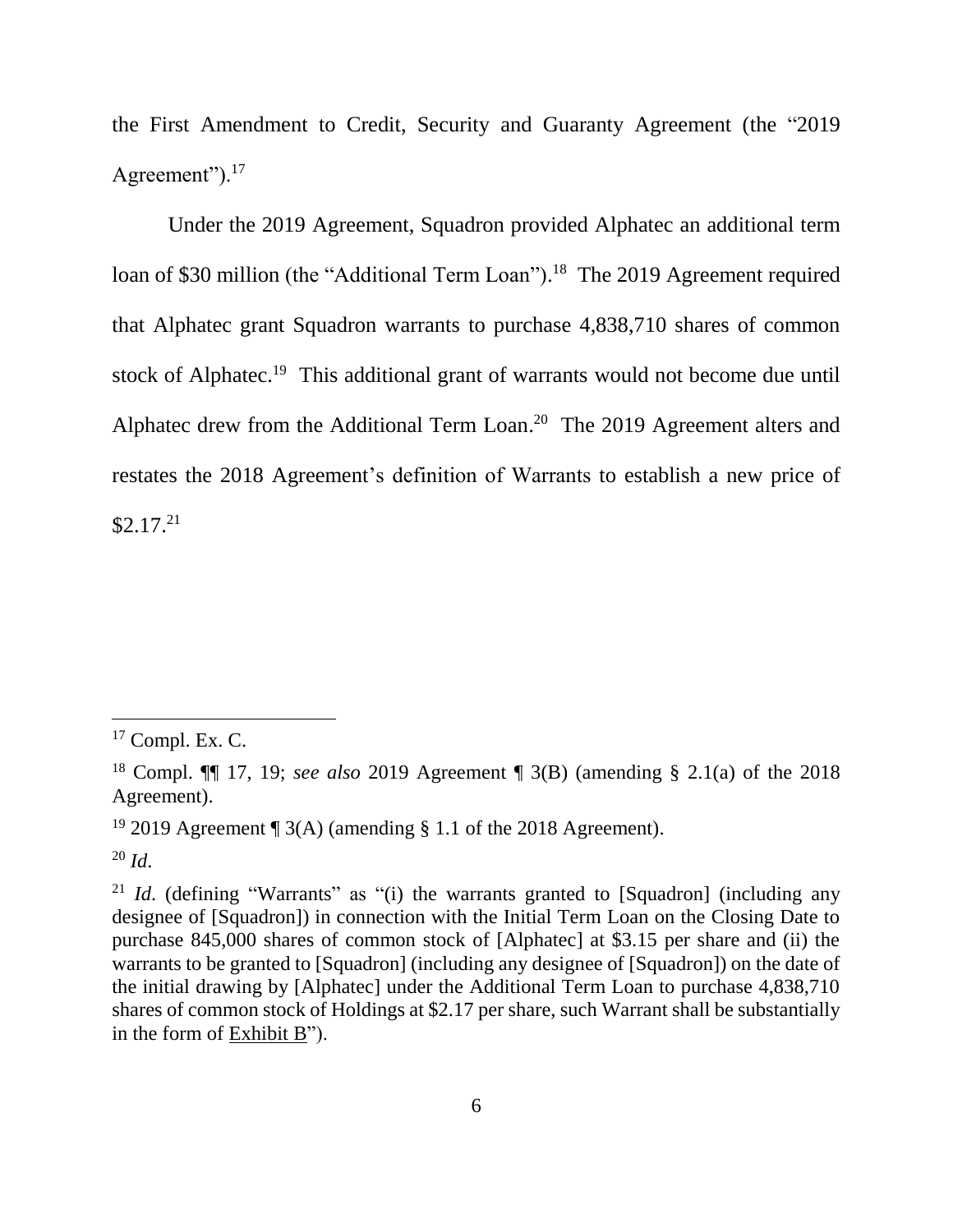the First Amendment to Credit, Security and Guaranty Agreement (the "2019 Agreement").<sup>17</sup>

Under the 2019 Agreement, Squadron provided Alphatec an additional term loan of \$30 million (the "Additional Term Loan").<sup>18</sup> The 2019 Agreement required that Alphatec grant Squadron warrants to purchase 4,838,710 shares of common stock of Alphatec.<sup>19</sup> This additional grant of warrants would not become due until Alphatec drew from the Additional Term Loan.<sup>20</sup> The 2019 Agreement alters and restates the 2018 Agreement's definition of Warrants to establish a new price of  $$2.17.<sup>21</sup>$ 

 $^{20}$  *Id.* 

 $17$  Compl. Ex. C.

<sup>18</sup> Compl. ¶¶ 17, 19; *see also* 2019 Agreement ¶ 3(B) (amending § 2.1(a) of the 2018 Agreement).

<sup>&</sup>lt;sup>19</sup> 2019 Agreement ¶ 3(A) (amending § 1.1 of the 2018 Agreement).

<sup>&</sup>lt;sup>21</sup> *Id.* (defining "Warrants" as "(i) the warrants granted to [Squadron] (including any designee of [Squadron]) in connection with the Initial Term Loan on the Closing Date to purchase 845,000 shares of common stock of [Alphatec] at \$3.15 per share and (ii) the warrants to be granted to [Squadron] (including any designee of [Squadron]) on the date of the initial drawing by [Alphatec] under the Additional Term Loan to purchase 4,838,710 shares of common stock of Holdings at \$2.17 per share, such Warrant shall be substantially in the form of Exhibit B").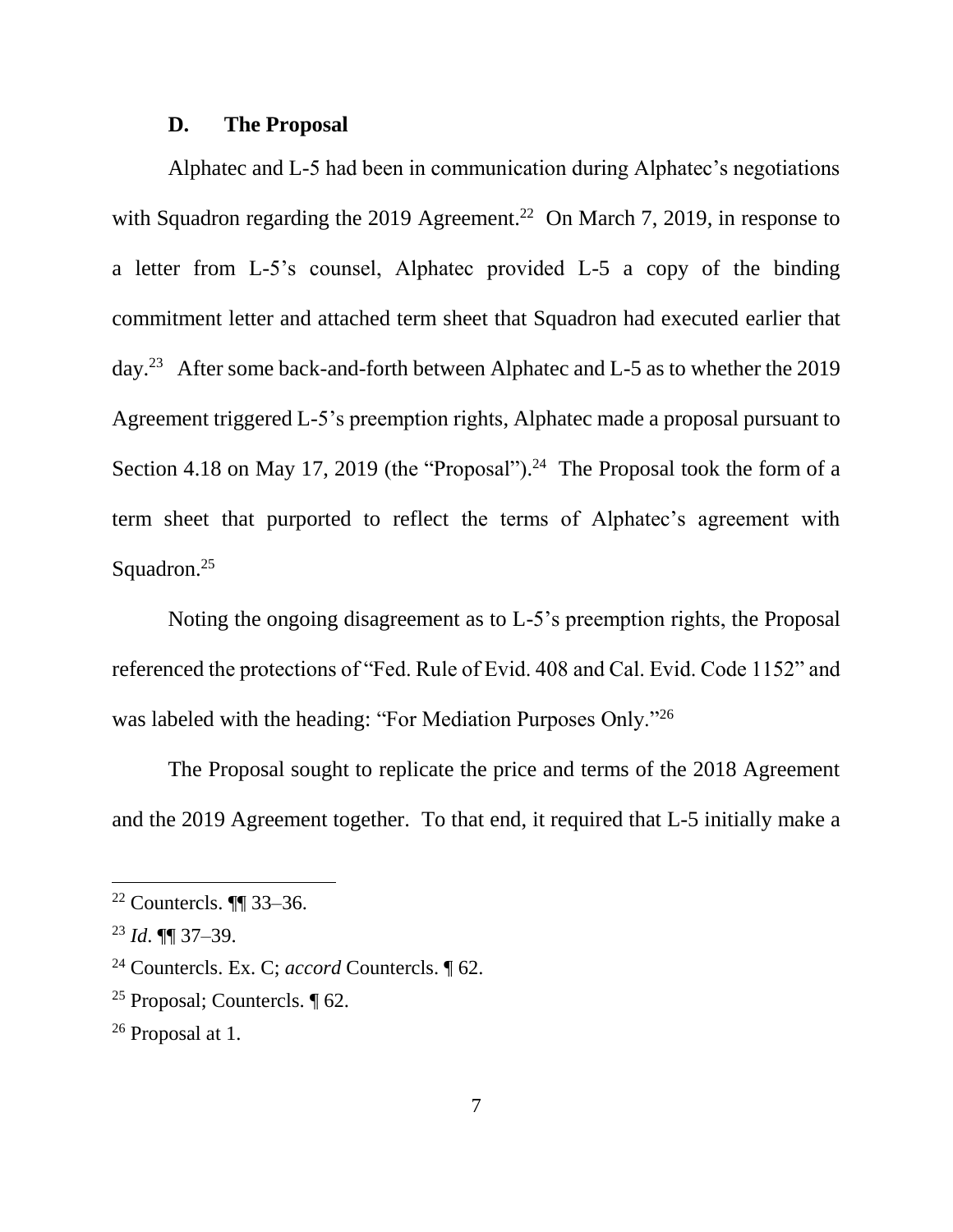#### **D. The Proposal**

Alphatec and L-5 had been in communication during Alphatec's negotiations with Squadron regarding the 2019 Agreement.<sup>22</sup> On March 7, 2019, in response to a letter from L-5's counsel, Alphatec provided L-5 a copy of the binding commitment letter and attached term sheet that Squadron had executed earlier that day.<sup>23</sup> After some back-and-forth between Alphatec and L-5 as to whether the 2019 Agreement triggered L-5's preemption rights, Alphatec made a proposal pursuant to Section 4.18 on May 17, 2019 (the "Proposal").<sup>24</sup> The Proposal took the form of a term sheet that purported to reflect the terms of Alphatec's agreement with Squadron.<sup>25</sup>

Noting the ongoing disagreement as to L-5's preemption rights, the Proposal referenced the protections of "Fed. Rule of Evid. 408 and Cal. Evid. Code 1152" and was labeled with the heading: "For Mediation Purposes Only."<sup>26</sup>

The Proposal sought to replicate the price and terms of the 2018 Agreement and the 2019 Agreement together. To that end, it required that L-5 initially make a

<sup>22</sup> Countercls. ¶¶ 33–36.

<sup>23</sup> *Id*. ¶¶ 37–39.

<sup>24</sup> Countercls. Ex. C; *accord* Countercls. ¶ 62.

<sup>25</sup> Proposal; Countercls. ¶ 62.

<sup>26</sup> Proposal at 1.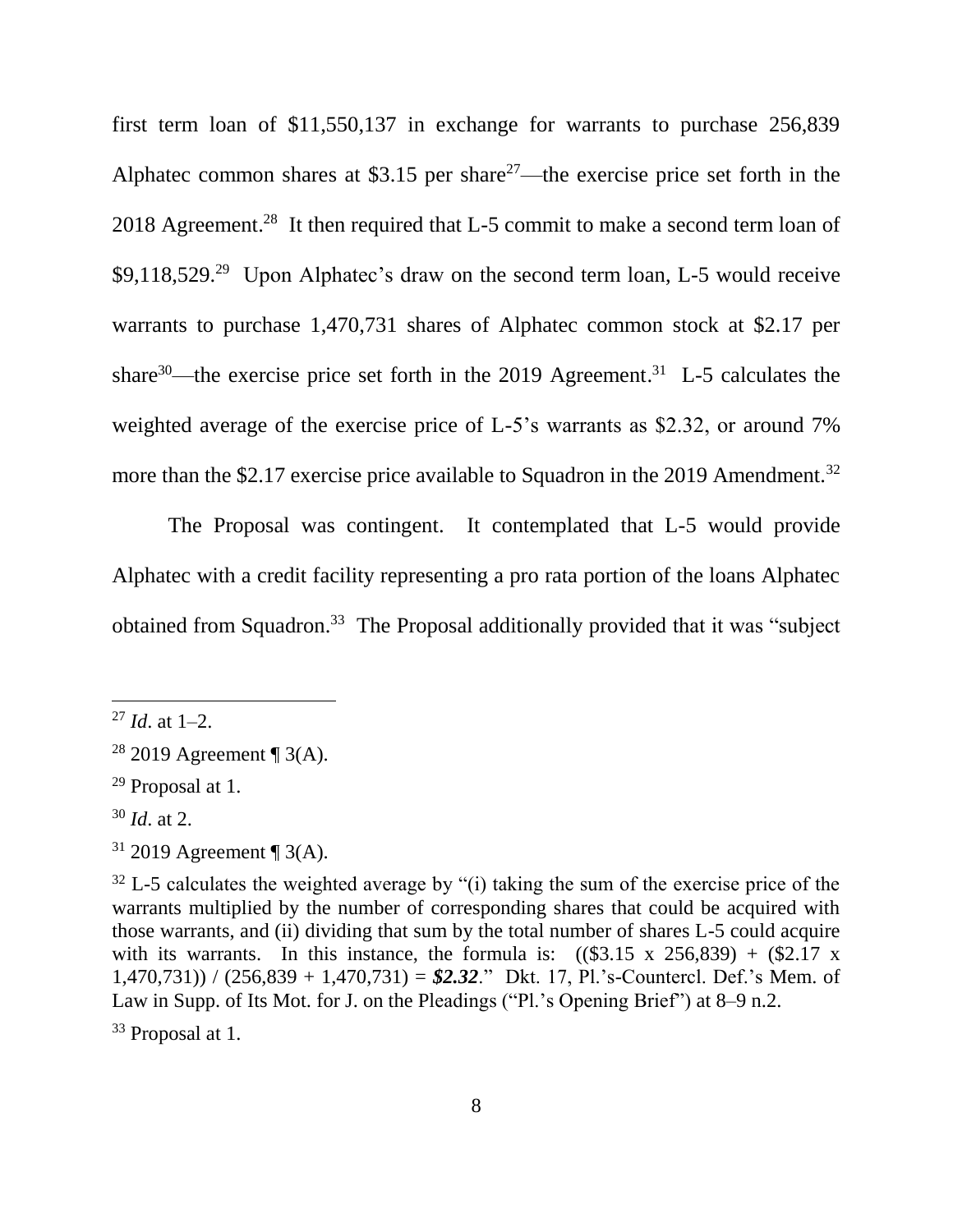first term loan of \$11,550,137 in exchange for warrants to purchase 256,839 Alphatec common shares at \$3.15 per share<sup>27</sup>—the exercise price set forth in the 2018 Agreement.<sup>28</sup> It then required that L-5 commit to make a second term loan of  $$9,118,529.<sup>29</sup>$  Upon Alphatec's draw on the second term loan, L-5 would receive warrants to purchase 1,470,731 shares of Alphatec common stock at \$2.17 per share<sup>30</sup>—the exercise price set forth in the 2019 Agreement.<sup>31</sup> L-5 calculates the weighted average of the exercise price of L-5's warrants as \$2.32, or around 7% more than the \$2.17 exercise price available to Squadron in the 2019 Amendment.<sup>32</sup>

The Proposal was contingent. It contemplated that L-5 would provide Alphatec with a credit facility representing a pro rata portion of the loans Alphatec obtained from Squadron.<sup>33</sup> The Proposal additionally provided that it was "subject

 $\overline{a}$ 

<sup>33</sup> Proposal at 1.

 $^{27}$  *Id.* at 1–2.

<sup>&</sup>lt;sup>28</sup> 2019 Agreement ¶ 3(A).

<sup>29</sup> Proposal at 1.

<sup>30</sup> *Id*. at 2.

 $31$  2019 Agreement ¶ 3(A).

 $32$  L-5 calculates the weighted average by "(i) taking the sum of the exercise price of the warrants multiplied by the number of corresponding shares that could be acquired with those warrants, and (ii) dividing that sum by the total number of shares L-5 could acquire with its warrants. In this instance, the formula is:  $((\$3.15 \times 256.839) + \$2.17 \times$ 1,470,731)) / (256,839 + 1,470,731) = *\$2.32*." Dkt. 17, Pl.'s-Countercl. Def.'s Mem. of Law in Supp. of Its Mot. for J. on the Pleadings ("Pl.'s Opening Brief") at 8–9 n.2.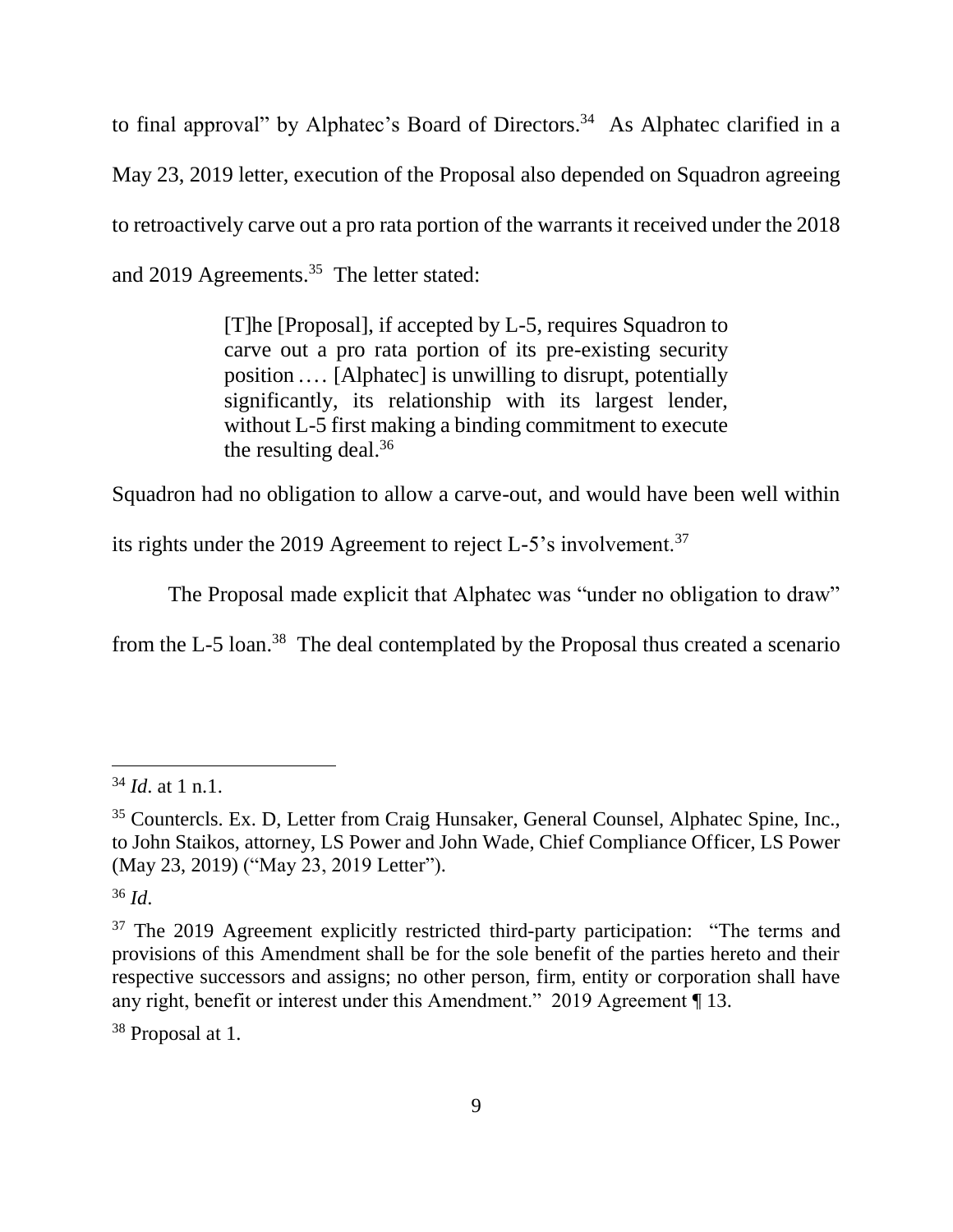to final approval" by Alphatec's Board of Directors. <sup>34</sup> As Alphatec clarified in a May 23, 2019 letter, execution of the Proposal also depended on Squadron agreeing to retroactively carve out a pro rata portion of the warrants it received under the 2018 and 2019 Agreements.<sup>35</sup> The letter stated:

> [T]he [Proposal], if accepted by L-5, requires Squadron to carve out a pro rata portion of its pre-existing security position .... [Alphatec] is unwilling to disrupt, potentially significantly, its relationship with its largest lender, without L-5 first making a binding commitment to execute the resulting deal.<sup>36</sup>

Squadron had no obligation to allow a carve-out, and would have been well within

its rights under the 2019 Agreement to reject L-5's involvement.<sup>37</sup>

The Proposal made explicit that Alphatec was "under no obligation to draw"

from the L-5 loan.<sup>38</sup> The deal contemplated by the Proposal thus created a scenario

<sup>36</sup> *Id*.

 $\overline{a}$ 

<sup>38</sup> Proposal at 1.

<sup>34</sup> *Id*. at 1 n.1.

<sup>35</sup> Countercls. Ex. D, Letter from Craig Hunsaker, General Counsel, Alphatec Spine, Inc., to John Staikos, attorney, LS Power and John Wade, Chief Compliance Officer, LS Power (May 23, 2019) ("May 23, 2019 Letter").

<sup>&</sup>lt;sup>37</sup> The 2019 Agreement explicitly restricted third-party participation: "The terms and provisions of this Amendment shall be for the sole benefit of the parties hereto and their respective successors and assigns; no other person, firm, entity or corporation shall have any right, benefit or interest under this Amendment." 2019 Agreement ¶ 13.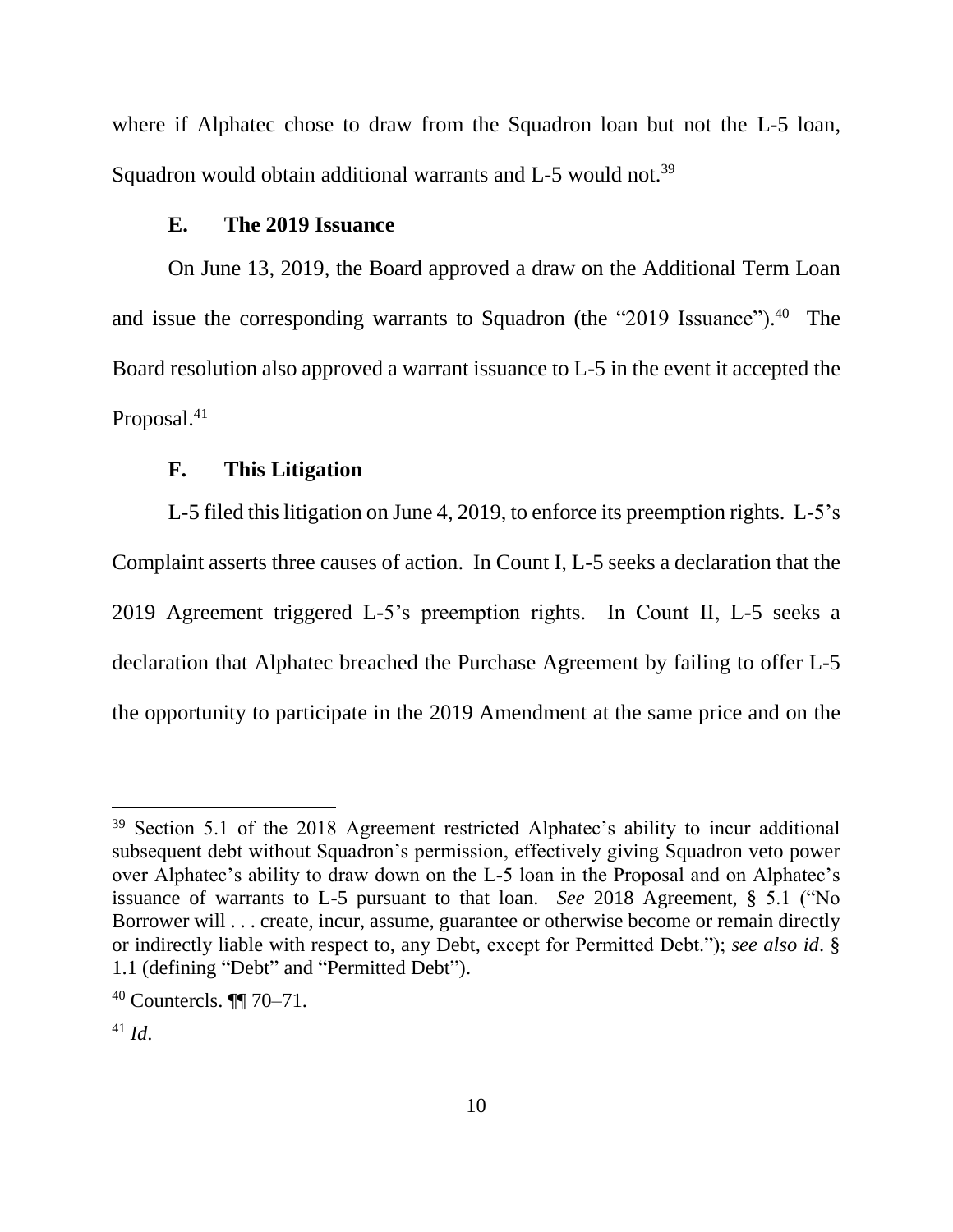where if Alphatec chose to draw from the Squadron loan but not the L-5 loan, Squadron would obtain additional warrants and L-5 would not.<sup>39</sup>

## **E. The 2019 Issuance**

On June 13, 2019, the Board approved a draw on the Additional Term Loan and issue the corresponding warrants to Squadron (the "2019 Issuance"). <sup>40</sup> The Board resolution also approved a warrant issuance to L-5 in the event it accepted the Proposal.<sup>41</sup>

#### **F. This Litigation**

L-5 filed this litigation on June 4, 2019, to enforce its preemption rights. L-5's Complaint asserts three causes of action. In Count I, L-5 seeks a declaration that the 2019 Agreement triggered L-5's preemption rights. In Count II, L-5 seeks a declaration that Alphatec breached the Purchase Agreement by failing to offer L-5 the opportunity to participate in the 2019 Amendment at the same price and on the

<sup>&</sup>lt;sup>39</sup> Section 5.1 of the 2018 Agreement restricted Alphatec's ability to incur additional subsequent debt without Squadron's permission, effectively giving Squadron veto power over Alphatec's ability to draw down on the L-5 loan in the Proposal and on Alphatec's issuance of warrants to L-5 pursuant to that loan. *See* 2018 Agreement, § 5.1 ("No Borrower will . . . create, incur, assume, guarantee or otherwise become or remain directly or indirectly liable with respect to, any Debt, except for Permitted Debt."); *see also id*. § 1.1 (defining "Debt" and "Permitted Debt").

<sup>40</sup> Countercls. ¶¶ 70–71.

<sup>41</sup> *Id*.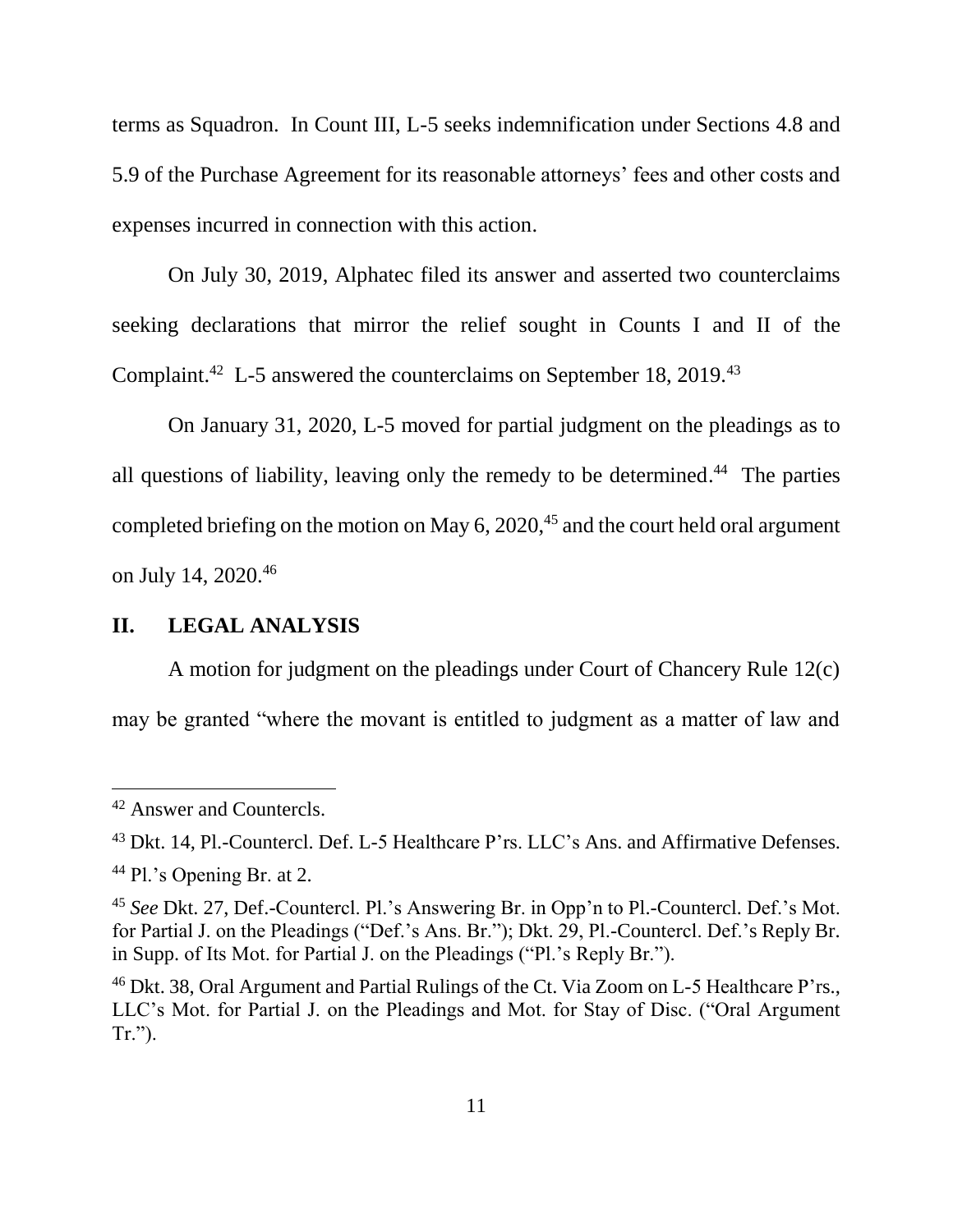terms as Squadron. In Count III, L-5 seeks indemnification under Sections 4.8 and 5.9 of the Purchase Agreement for its reasonable attorneys' fees and other costs and expenses incurred in connection with this action.

On July 30, 2019, Alphatec filed its answer and asserted two counterclaims seeking declarations that mirror the relief sought in Counts I and II of the Complaint.<sup>42</sup> L-5 answered the counterclaims on September 18, 2019.<sup>43</sup>

On January 31, 2020, L-5 moved for partial judgment on the pleadings as to all questions of liability, leaving only the remedy to be determined. 44 The parties completed briefing on the motion on May 6, 2020, $45$  and the court held oral argument on July 14, 2020.<sup>46</sup>

## **II. LEGAL ANALYSIS**

A motion for judgment on the pleadings under Court of Chancery Rule 12(c) may be granted "where the movant is entitled to judgment as a matter of law and

<sup>&</sup>lt;sup>42</sup> Answer and Countercls.

<sup>&</sup>lt;sup>43</sup> Dkt. 14, Pl.-Countercl. Def. L-5 Healthcare P'rs. LLC's Ans. and Affirmative Defenses. <sup>44</sup> Pl.'s Opening Br. at 2.

<sup>45</sup> *See* Dkt. 27, Def.-Countercl. Pl.'s Answering Br. in Opp'n to Pl.-Countercl. Def.'s Mot. for Partial J. on the Pleadings ("Def.'s Ans. Br."); Dkt. 29, Pl.-Countercl. Def.'s Reply Br. in Supp. of Its Mot. for Partial J. on the Pleadings ("Pl.'s Reply Br.").

<sup>&</sup>lt;sup>46</sup> Dkt. 38, Oral Argument and Partial Rulings of the Ct. Via Zoom on L-5 Healthcare P'rs., LLC's Mot. for Partial J. on the Pleadings and Mot. for Stay of Disc. ("Oral Argument Tr.").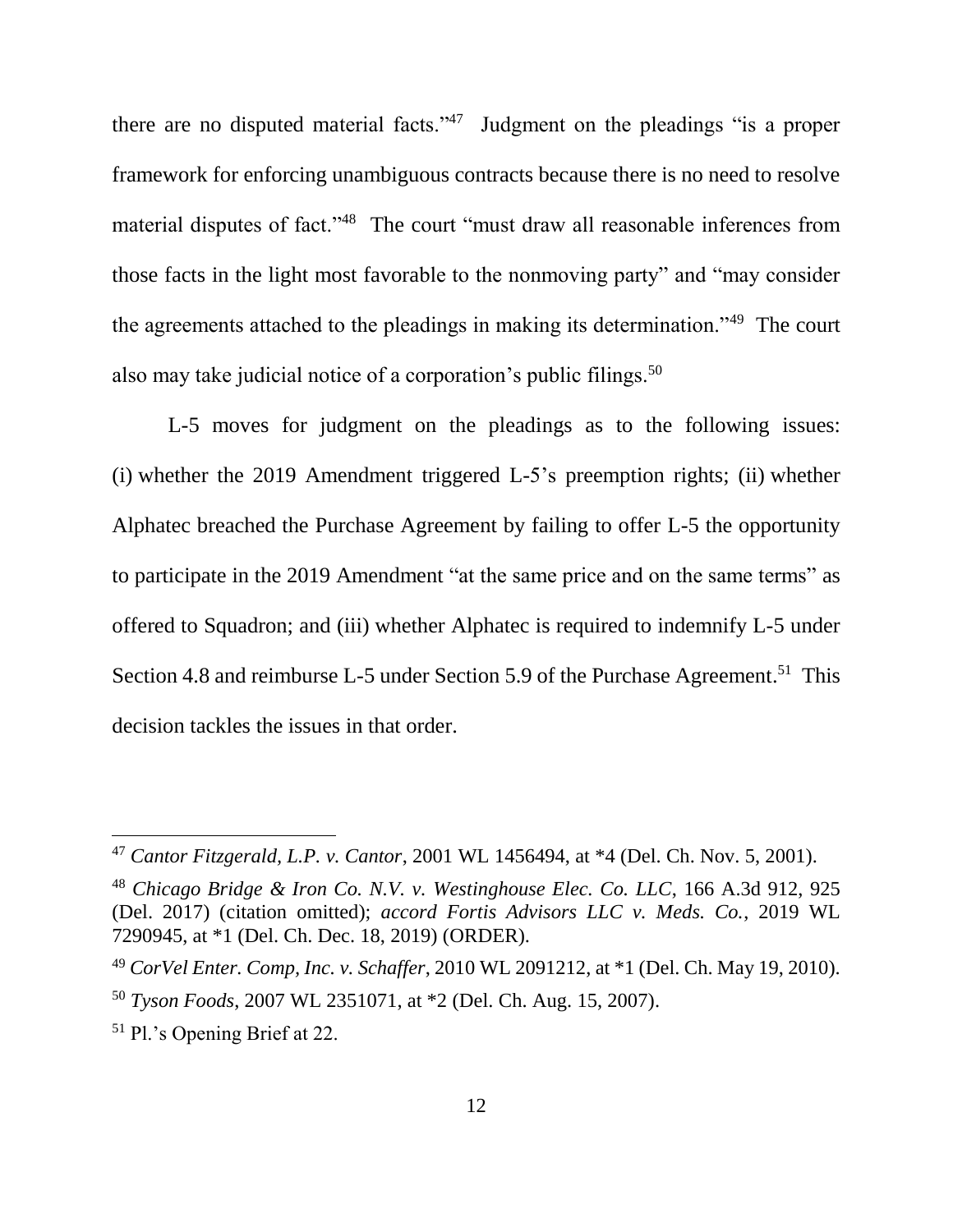there are no disputed material facts."<sup>47</sup> Judgment on the pleadings "is a proper framework for enforcing unambiguous contracts because there is no need to resolve material disputes of fact."<sup>48</sup> The court "must draw all reasonable inferences from those facts in the light most favorable to the nonmoving party" and "may consider the agreements attached to the pleadings in making its determination."<sup>49</sup> The court also may take judicial notice of a corporation's public filings.<sup>50</sup>

L-5 moves for judgment on the pleadings as to the following issues: (i) whether the 2019 Amendment triggered L-5's preemption rights; (ii) whether Alphatec breached the Purchase Agreement by failing to offer L-5 the opportunity to participate in the 2019 Amendment "at the same price and on the same terms" as offered to Squadron; and (iii) whether Alphatec is required to indemnify L-5 under Section 4.8 and reimburse L-5 under Section 5.9 of the Purchase Agreement.<sup>51</sup> This decision tackles the issues in that order.

<sup>47</sup> *Cantor Fitzgerald, L.P. v. Cantor*, 2001 WL 1456494, at \*4 (Del. Ch. Nov. 5, 2001).

<sup>48</sup> *Chicago Bridge & Iron Co. N.V. v. Westinghouse Elec. Co. LLC*, 166 A.3d 912, 925 (Del. 2017) (citation omitted); *accord Fortis Advisors LLC v. Meds. Co.*, 2019 WL 7290945, at \*1 (Del. Ch. Dec. 18, 2019) (ORDER).

<sup>49</sup> *CorVel Enter. Comp, Inc. v. Schaffer*, 2010 WL 2091212, at \*1 (Del. Ch. May 19, 2010). <sup>50</sup> *Tyson Foods*, 2007 WL 2351071, at \*2 (Del. Ch. Aug. 15, 2007).

<sup>51</sup> Pl.'s Opening Brief at 22.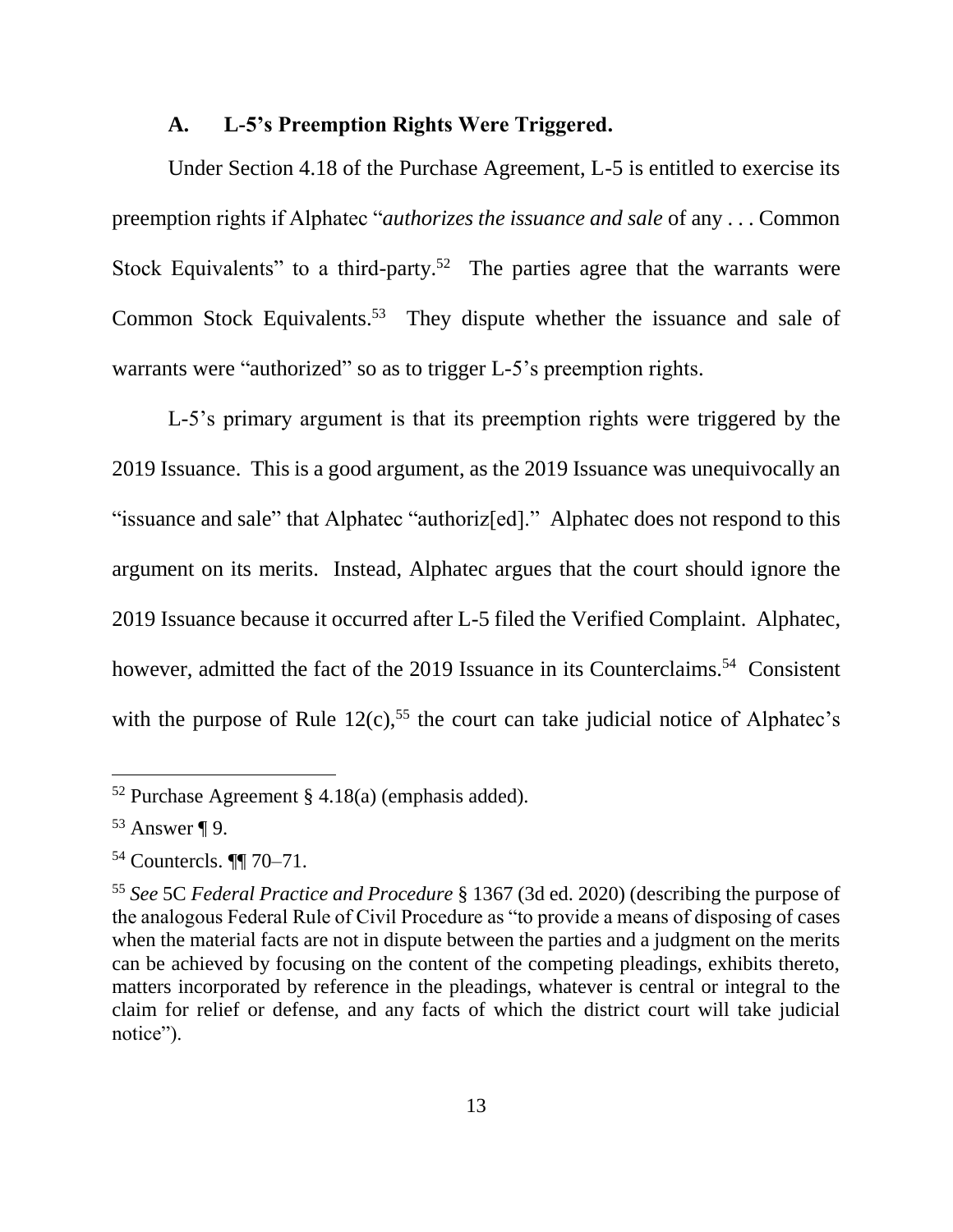## **A. L-5's Preemption Rights Were Triggered.**

Under Section 4.18 of the Purchase Agreement, L-5 is entitled to exercise its preemption rights if Alphatec "*authorizes the issuance and sale* of any . . . Common Stock Equivalents" to a third-party.<sup>52</sup> The parties agree that the warrants were Common Stock Equivalents.<sup>53</sup> They dispute whether the issuance and sale of warrants were "authorized" so as to trigger L-5's preemption rights.

L-5's primary argument is that its preemption rights were triggered by the 2019 Issuance. This is a good argument, as the 2019 Issuance was unequivocally an "issuance and sale" that Alphatec "authoriz[ed]." Alphatec does not respond to this argument on its merits. Instead, Alphatec argues that the court should ignore the 2019 Issuance because it occurred after L-5 filed the Verified Complaint. Alphatec, however, admitted the fact of the 2019 Issuance in its Counterclaims.<sup>54</sup> Consistent with the purpose of Rule  $12(c)$ ,<sup>55</sup> the court can take judicial notice of Alphatec's

 $52$  Purchase Agreement § 4.18(a) (emphasis added).

 $53$  Answer ¶ 9.

<sup>54</sup> Countercls. ¶¶ 70–71.

<sup>55</sup> *See* 5C *Federal Practice and Procedure* § 1367 (3d ed. 2020) (describing the purpose of the analogous Federal Rule of Civil Procedure as "to provide a means of disposing of cases when the material facts are not in dispute between the parties and a judgment on the merits can be achieved by focusing on the content of the competing pleadings, exhibits thereto, matters incorporated by reference in the pleadings, whatever is central or integral to the claim for relief or defense, and any facts of which the district court will take judicial notice").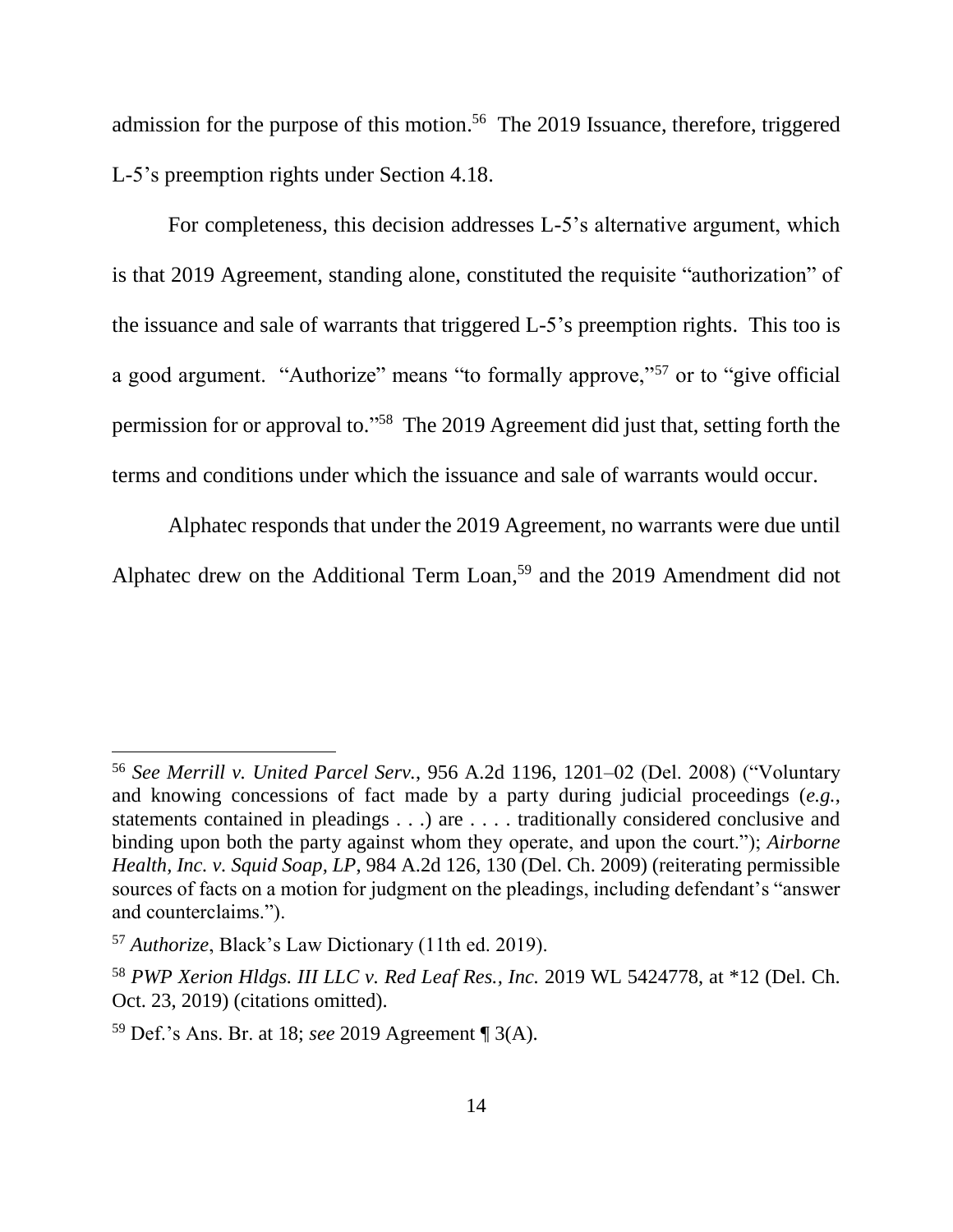admission for the purpose of this motion. 56 The 2019 Issuance, therefore, triggered L-5's preemption rights under Section 4.18.

For completeness, this decision addresses L-5's alternative argument, which is that 2019 Agreement, standing alone, constituted the requisite "authorization" of the issuance and sale of warrants that triggered L-5's preemption rights. This too is a good argument. "Authorize" means "to formally approve,"<sup>57</sup> or to "give official permission for or approval to."<sup>58</sup> The 2019 Agreement did just that, setting forth the terms and conditions under which the issuance and sale of warrants would occur.

Alphatec responds that under the 2019 Agreement, no warrants were due until Alphatec drew on the Additional Term Loan, <sup>59</sup> and the 2019 Amendment did not

<sup>56</sup> *See Merrill v. United Parcel Serv.*, 956 A.2d 1196, 1201–02 (Del. 2008) ("Voluntary and knowing concessions of fact made by a party during judicial proceedings (*e.g.*, statements contained in pleadings . . .) are . . . . traditionally considered conclusive and binding upon both the party against whom they operate, and upon the court."); *Airborne Health, Inc. v. Squid Soap, LP*, 984 A.2d 126, 130 (Del. Ch. 2009) (reiterating permissible sources of facts on a motion for judgment on the pleadings, including defendant's "answer and counterclaims.").

<sup>57</sup> *Authorize*, Black's Law Dictionary (11th ed. 2019).

<sup>58</sup> *PWP Xerion Hldgs. III LLC v. Red Leaf Res., Inc.* 2019 WL 5424778, at \*12 (Del. Ch. Oct. 23, 2019) (citations omitted).

<sup>59</sup> Def.'s Ans. Br. at 18; *see* 2019 Agreement ¶ 3(A).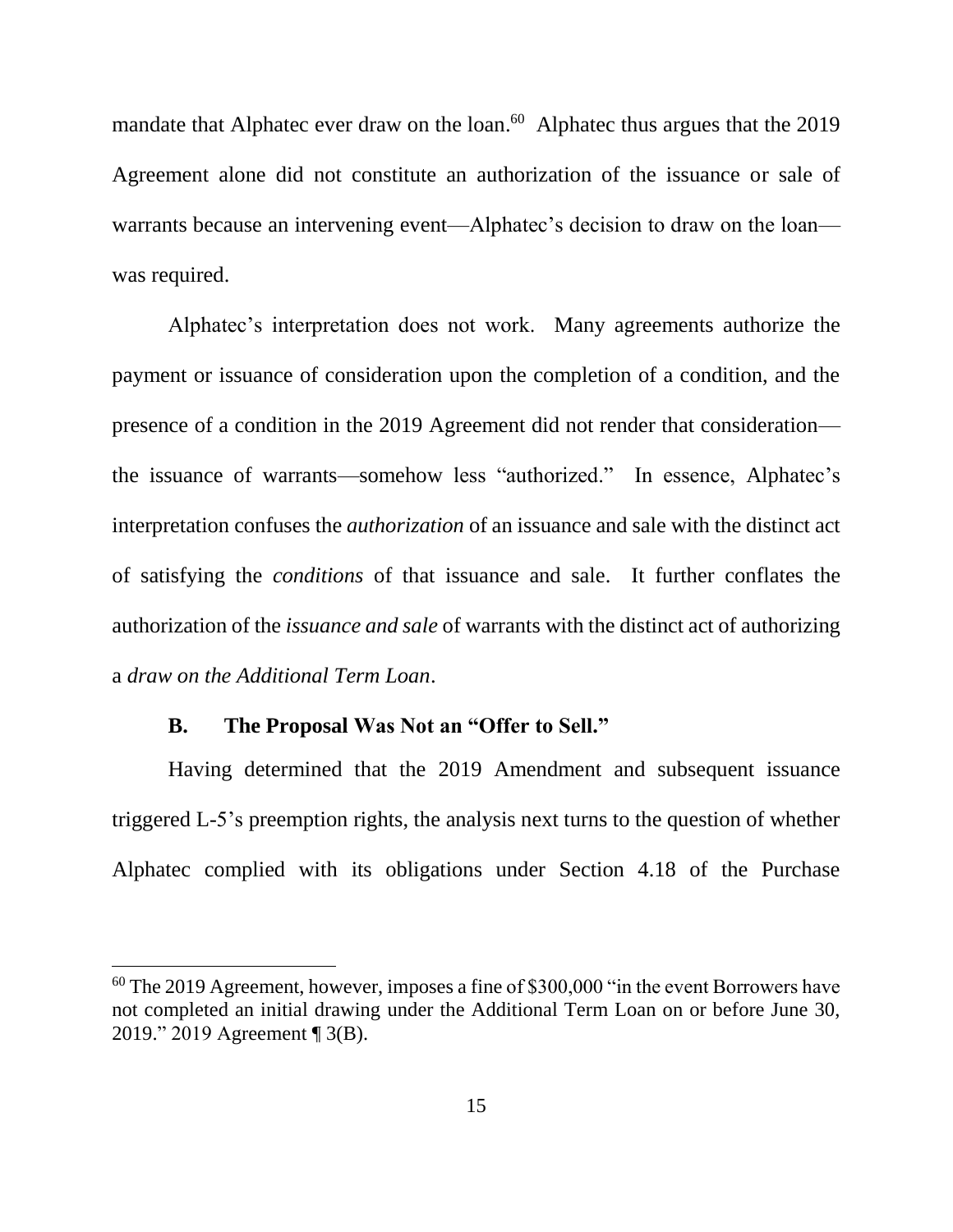mandate that Alphatec ever draw on the loan.<sup>60</sup> Alphatec thus argues that the 2019 Agreement alone did not constitute an authorization of the issuance or sale of warrants because an intervening event—Alphatec's decision to draw on the loan was required.

Alphatec's interpretation does not work. Many agreements authorize the payment or issuance of consideration upon the completion of a condition, and the presence of a condition in the 2019 Agreement did not render that consideration the issuance of warrants—somehow less "authorized." In essence, Alphatec's interpretation confuses the *authorization* of an issuance and sale with the distinct act of satisfying the *conditions* of that issuance and sale. It further conflates the authorization of the *issuance and sale* of warrants with the distinct act of authorizing a *draw on the Additional Term Loan*.

## **B. The Proposal Was Not an "Offer to Sell."**

 $\overline{a}$ 

Having determined that the 2019 Amendment and subsequent issuance triggered L-5's preemption rights, the analysis next turns to the question of whether Alphatec complied with its obligations under Section 4.18 of the Purchase

 $60$  The 2019 Agreement, however, imposes a fine of \$300,000 "in the event Borrowers have not completed an initial drawing under the Additional Term Loan on or before June 30, 2019." 2019 Agreement ¶ 3(B).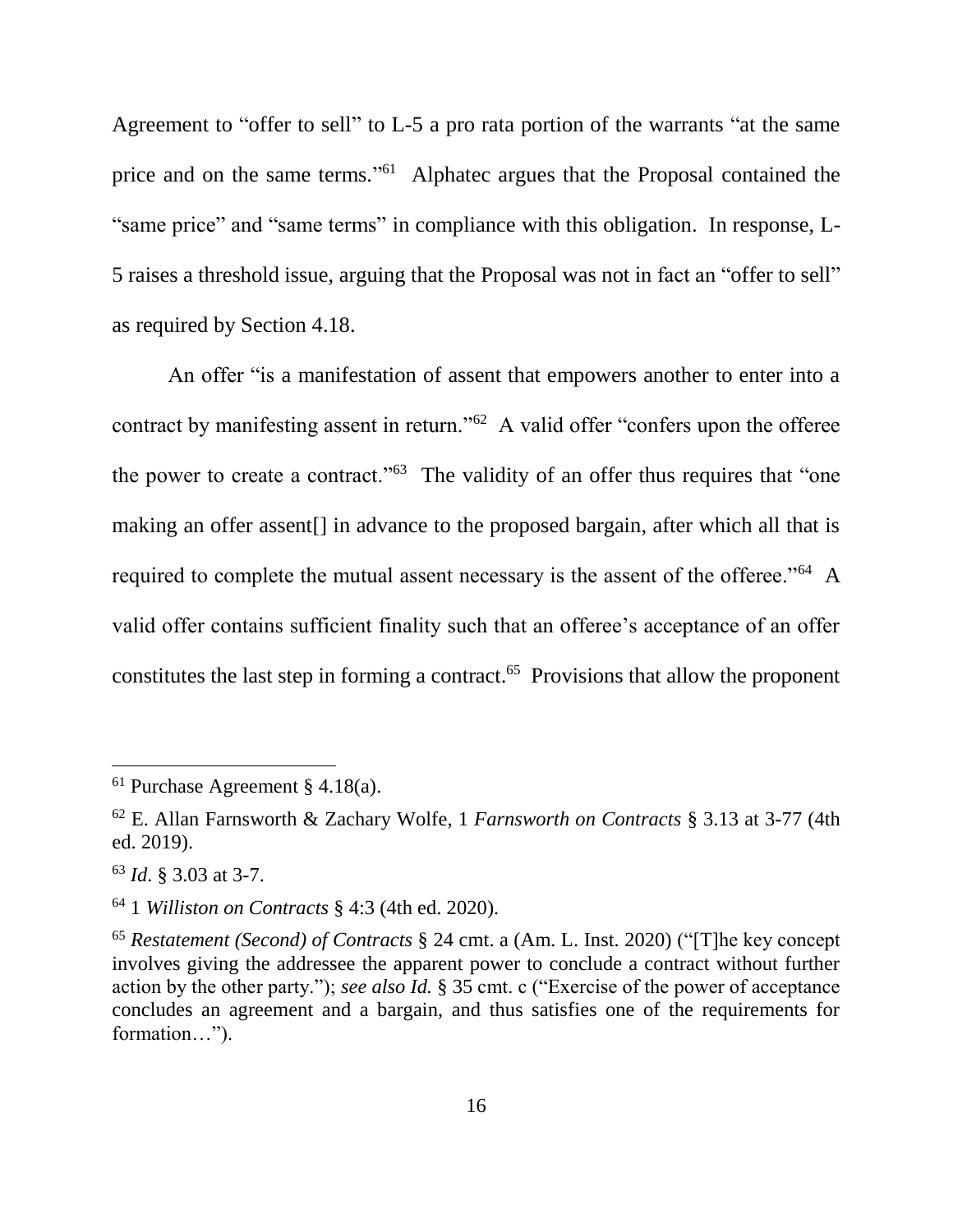Agreement to "offer to sell" to L-5 a pro rata portion of the warrants "at the same price and on the same terms."<sup>61</sup> Alphatec argues that the Proposal contained the "same price" and "same terms" in compliance with this obligation. In response, L-5 raises a threshold issue, arguing that the Proposal was not in fact an "offer to sell" as required by Section 4.18.

An offer "is a manifestation of assent that empowers another to enter into a contract by manifesting assent in return."<sup>62</sup> A valid offer "confers upon the offeree the power to create a contract."<sup>63</sup> The validity of an offer thus requires that "one making an offer assent[] in advance to the proposed bargain, after which all that is required to complete the mutual assent necessary is the assent of the offeree."<sup>64</sup> A valid offer contains sufficient finality such that an offeree's acceptance of an offer constitutes the last step in forming a contract.<sup>65</sup> Provisions that allow the proponent

<sup>&</sup>lt;sup>61</sup> Purchase Agreement § 4.18(a).

<sup>62</sup> E. Allan Farnsworth & Zachary Wolfe, 1 *Farnsworth on Contracts* § 3.13 at 3-77 (4th ed. 2019).

<sup>63</sup> *Id*. § 3.03 at 3-7.

<sup>64</sup> 1 *Williston on Contracts* § 4:3 (4th ed. 2020).

<sup>65</sup> *Restatement (Second) of Contracts* § 24 cmt. a (Am. L. Inst. 2020) ("[T]he key concept involves giving the addressee the apparent power to conclude a contract without further action by the other party."); *see also Id.* § 35 cmt. c ("Exercise of the power of acceptance concludes an agreement and a bargain, and thus satisfies one of the requirements for formation…").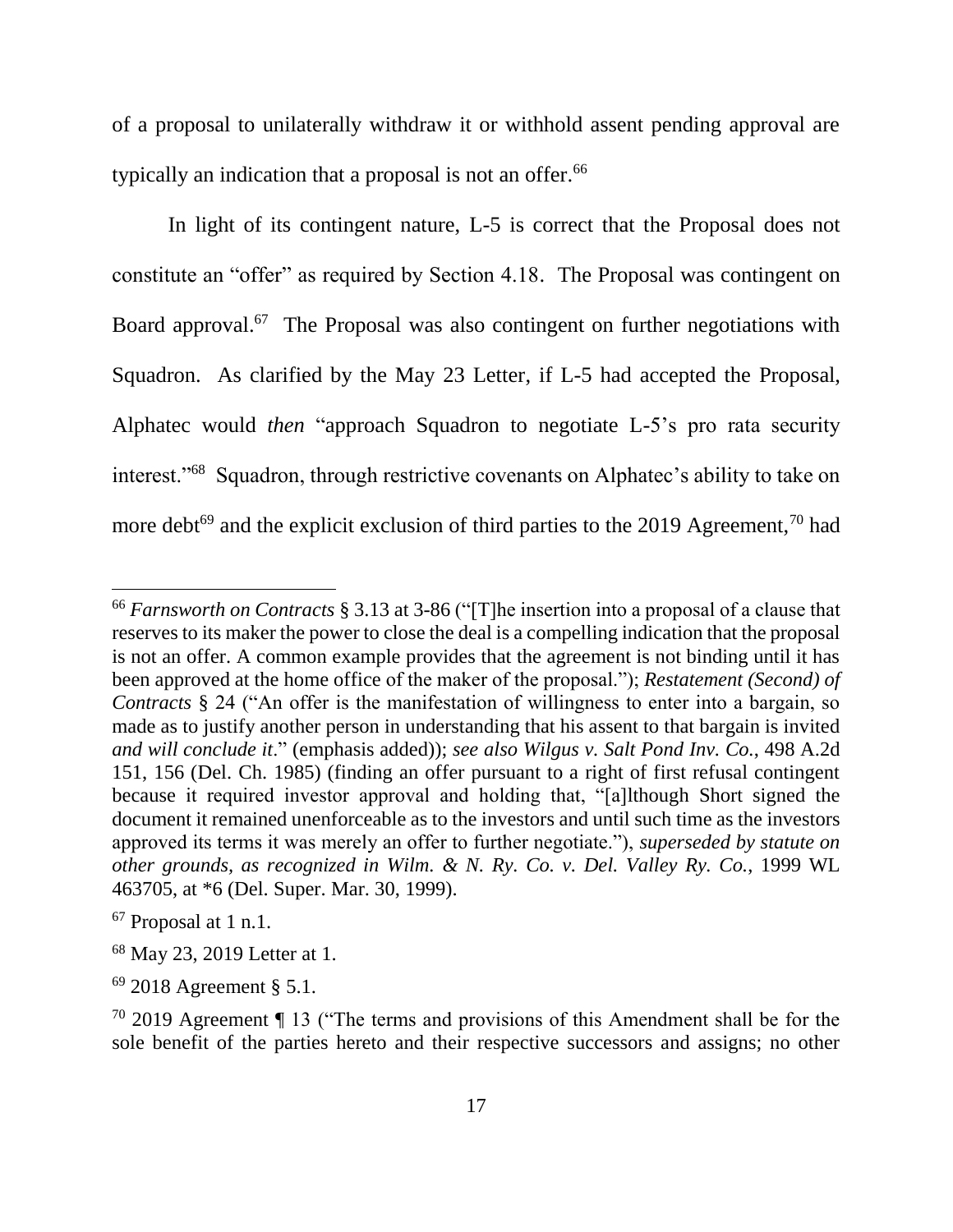of a proposal to unilaterally withdraw it or withhold assent pending approval are typically an indication that a proposal is not an offer.<sup>66</sup>

In light of its contingent nature, L-5 is correct that the Proposal does not constitute an "offer" as required by Section 4.18. The Proposal was contingent on Board approval.<sup>67</sup> The Proposal was also contingent on further negotiations with Squadron. As clarified by the May 23 Letter, if L-5 had accepted the Proposal, Alphatec would *then* "approach Squadron to negotiate L-5's pro rata security interest."<sup>68</sup> Squadron, through restrictive covenants on Alphatec's ability to take on more debt<sup>69</sup> and the explicit exclusion of third parties to the 2019 Agreement,<sup>70</sup> had

<sup>66</sup> *Farnsworth on Contracts* § 3.13 at 3-86 ("[T]he insertion into a proposal of a clause that reserves to its maker the power to close the deal is a compelling indication that the proposal is not an offer. A common example provides that the agreement is not binding until it has been approved at the home office of the maker of the proposal."); *Restatement (Second) of Contracts* § 24 ("An offer is the manifestation of willingness to enter into a bargain, so made as to justify another person in understanding that his assent to that bargain is invited *and will conclude it*." (emphasis added)); *see also Wilgus v. Salt Pond Inv. Co.*, 498 A.2d 151, 156 (Del. Ch. 1985) (finding an offer pursuant to a right of first refusal contingent because it required investor approval and holding that, "[a]lthough Short signed the document it remained unenforceable as to the investors and until such time as the investors approved its terms it was merely an offer to further negotiate."), *superseded by statute on other grounds, as recognized in Wilm. & N. Ry. Co. v. Del. Valley Ry. Co.*, 1999 WL 463705, at \*6 (Del. Super. Mar. 30, 1999).

<sup>67</sup> Proposal at 1 n.1.

<sup>68</sup> May 23, 2019 Letter at 1.

<sup>69</sup> 2018 Agreement § 5.1.

<sup>70</sup> 2019 Agreement ¶ 13 ("The terms and provisions of this Amendment shall be for the sole benefit of the parties hereto and their respective successors and assigns; no other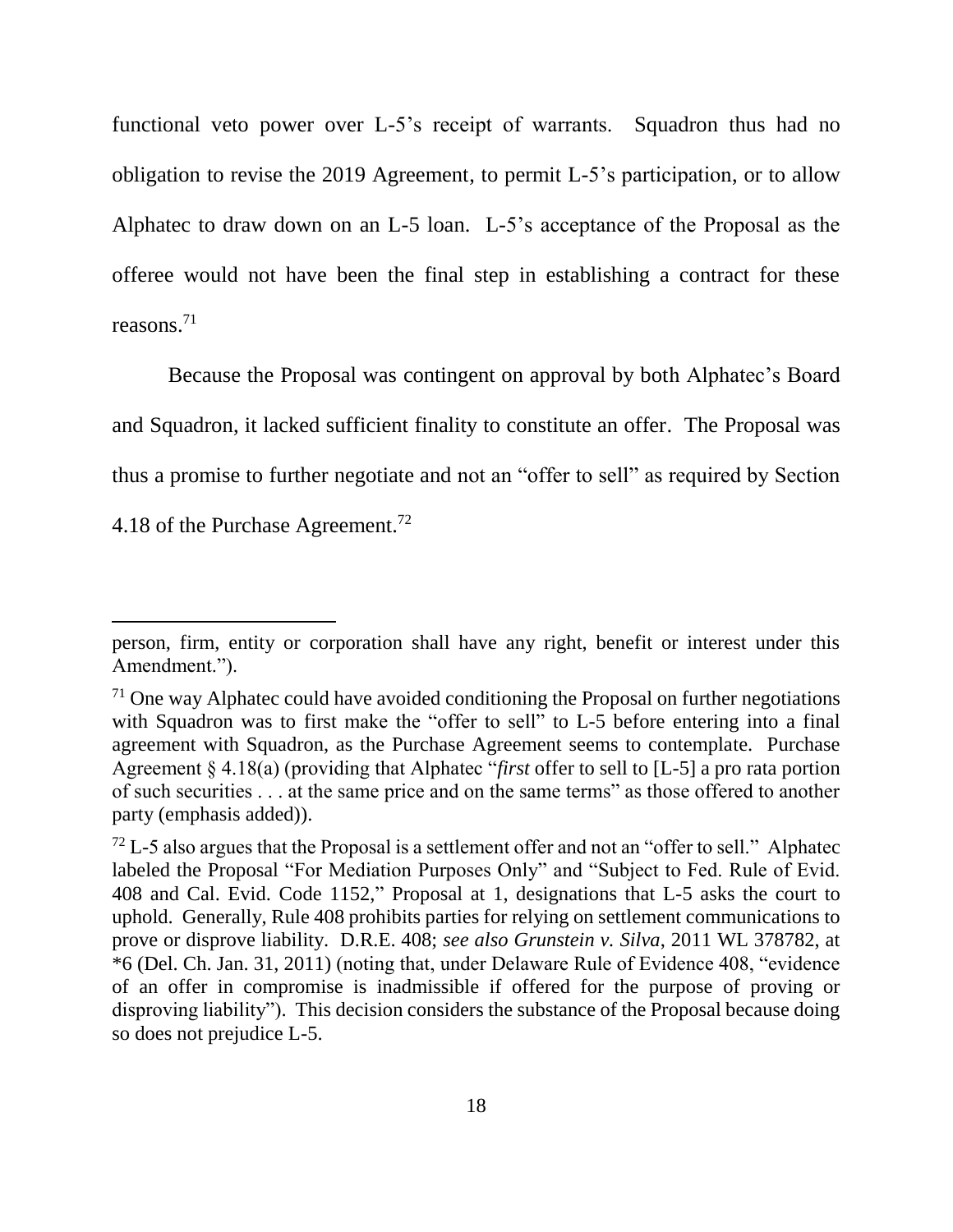functional veto power over L-5's receipt of warrants. Squadron thus had no obligation to revise the 2019 Agreement, to permit L-5's participation, or to allow Alphatec to draw down on an L-5 loan. L-5's acceptance of the Proposal as the offeree would not have been the final step in establishing a contract for these reasons.<sup>71</sup>

Because the Proposal was contingent on approval by both Alphatec's Board and Squadron, it lacked sufficient finality to constitute an offer. The Proposal was thus a promise to further negotiate and not an "offer to sell" as required by Section 4.18 of the Purchase Agreement.<sup>72</sup>

person, firm, entity or corporation shall have any right, benefit or interest under this Amendment.").

 $71$  One way Alphatec could have avoided conditioning the Proposal on further negotiations with Squadron was to first make the "offer to sell" to L-5 before entering into a final agreement with Squadron, as the Purchase Agreement seems to contemplate. Purchase Agreement § 4.18(a) (providing that Alphatec "*first* offer to sell to [L-5] a pro rata portion of such securities . . . at the same price and on the same terms" as those offered to another party (emphasis added)).

 $^{72}$  L-5 also argues that the Proposal is a settlement offer and not an "offer to sell." Alphatec labeled the Proposal "For Mediation Purposes Only" and "Subject to Fed. Rule of Evid. 408 and Cal. Evid. Code 1152," Proposal at 1, designations that L-5 asks the court to uphold. Generally, Rule 408 prohibits parties for relying on settlement communications to prove or disprove liability. D.R.E. 408; *see also Grunstein v. Silva*, 2011 WL 378782, at \*6 (Del. Ch. Jan. 31, 2011) (noting that, under Delaware Rule of Evidence 408, "evidence of an offer in compromise is inadmissible if offered for the purpose of proving or disproving liability"). This decision considers the substance of the Proposal because doing so does not prejudice L-5.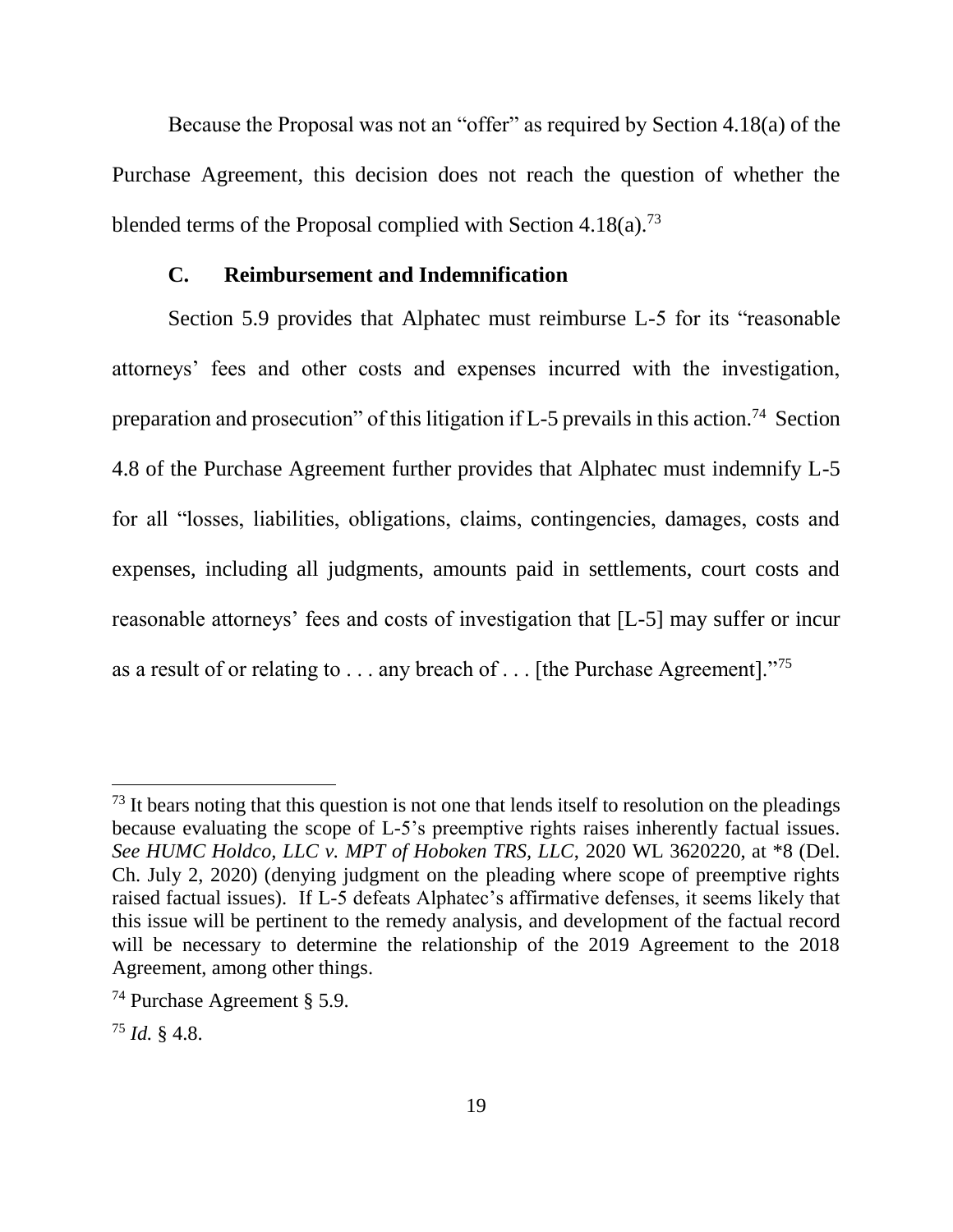Because the Proposal was not an "offer" as required by Section 4.18(a) of the Purchase Agreement, this decision does not reach the question of whether the blended terms of the Proposal complied with Section  $4.18(a)^{73}$ 

### **C. Reimbursement and Indemnification**

Section 5.9 provides that Alphatec must reimburse L-5 for its "reasonable attorneys' fees and other costs and expenses incurred with the investigation, preparation and prosecution" of this litigation if  $L-5$  prevails in this action.<sup>74</sup> Section 4.8 of the Purchase Agreement further provides that Alphatec must indemnify L-5 for all "losses, liabilities, obligations, claims, contingencies, damages, costs and expenses, including all judgments, amounts paid in settlements, court costs and reasonable attorneys' fees and costs of investigation that [L-5] may suffer or incur as a result of or relating to . . . any breach of . . . [the Purchase Agreement]."<sup>75</sup>

 $<sup>73</sup>$  It bears noting that this question is not one that lends itself to resolution on the pleadings</sup> because evaluating the scope of L-5's preemptive rights raises inherently factual issues. *See HUMC Holdco, LLC v. MPT of Hoboken TRS, LLC*, 2020 WL 3620220, at \*8 (Del. Ch. July 2, 2020) (denying judgment on the pleading where scope of preemptive rights raised factual issues). If L-5 defeats Alphatec's affirmative defenses, it seems likely that this issue will be pertinent to the remedy analysis, and development of the factual record will be necessary to determine the relationship of the 2019 Agreement to the 2018 Agreement, among other things.

<sup>74</sup> Purchase Agreement § 5.9.

<sup>75</sup> *Id.* § 4.8.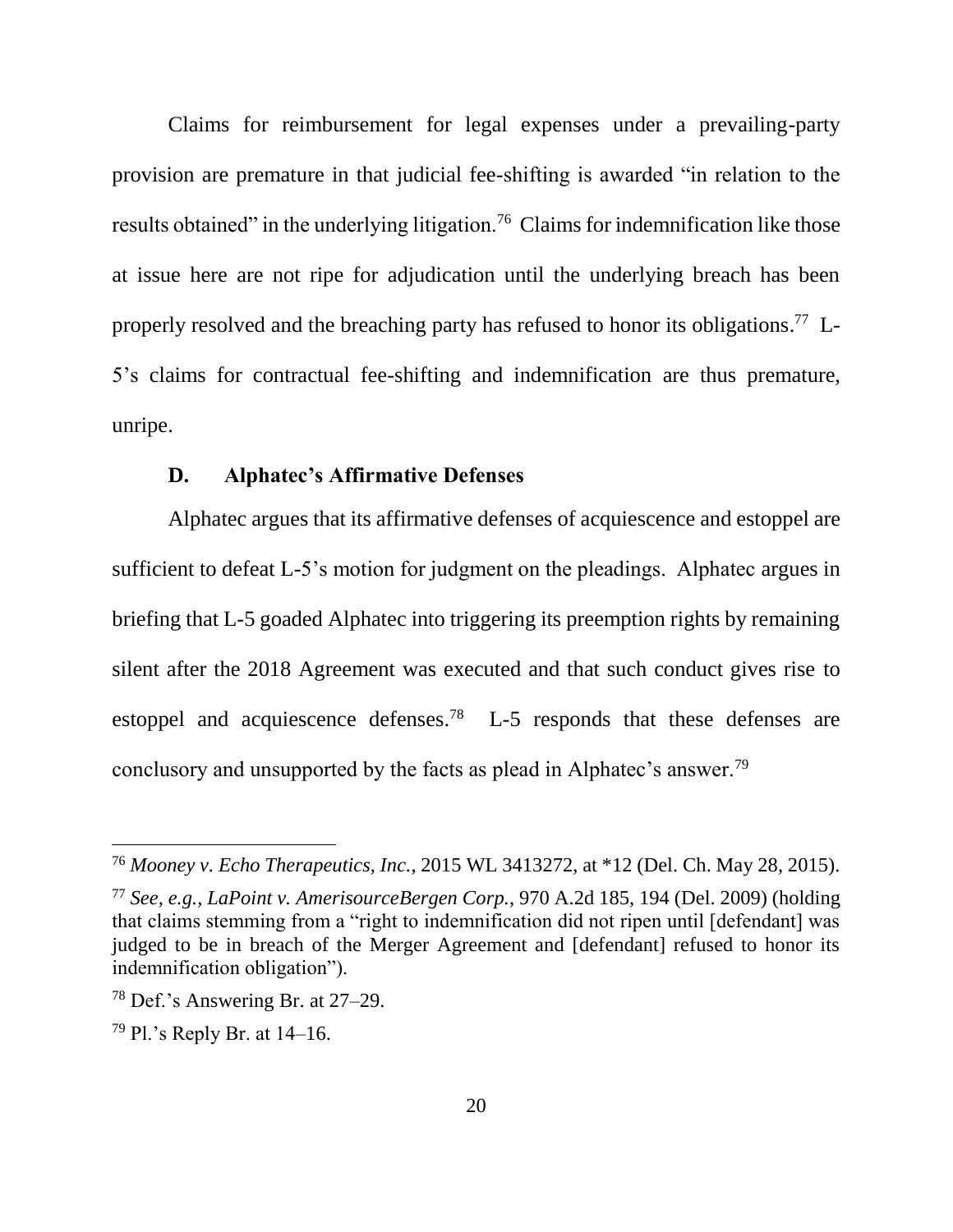Claims for reimbursement for legal expenses under a prevailing-party provision are premature in that judicial fee-shifting is awarded "in relation to the results obtained" in the underlying litigation.<sup>76</sup> Claims for indemnification like those at issue here are not ripe for adjudication until the underlying breach has been properly resolved and the breaching party has refused to honor its obligations.<sup>77</sup> L-5's claims for contractual fee-shifting and indemnification are thus premature, unripe.

### **D. Alphatec's Affirmative Defenses**

Alphatec argues that its affirmative defenses of acquiescence and estoppel are sufficient to defeat L-5's motion for judgment on the pleadings. Alphatec argues in briefing that L-5 goaded Alphatec into triggering its preemption rights by remaining silent after the 2018 Agreement was executed and that such conduct gives rise to estoppel and acquiescence defenses.<sup>78</sup> L-5 responds that these defenses are conclusory and unsupported by the facts as plead in Alphatec's answer.<sup>79</sup>

<sup>76</sup> *Mooney v. Echo Therapeutics, Inc.*, 2015 WL 3413272, at \*12 (Del. Ch. May 28, 2015).

<sup>77</sup> *See, e.g.*, *LaPoint v. AmerisourceBergen Corp.*, 970 A.2d 185, 194 (Del. 2009) (holding that claims stemming from a "right to indemnification did not ripen until [defendant] was judged to be in breach of the Merger Agreement and [defendant] refused to honor its indemnification obligation").

<sup>78</sup> Def.'s Answering Br. at 27–29.

<sup>79</sup> Pl.'s Reply Br. at 14–16.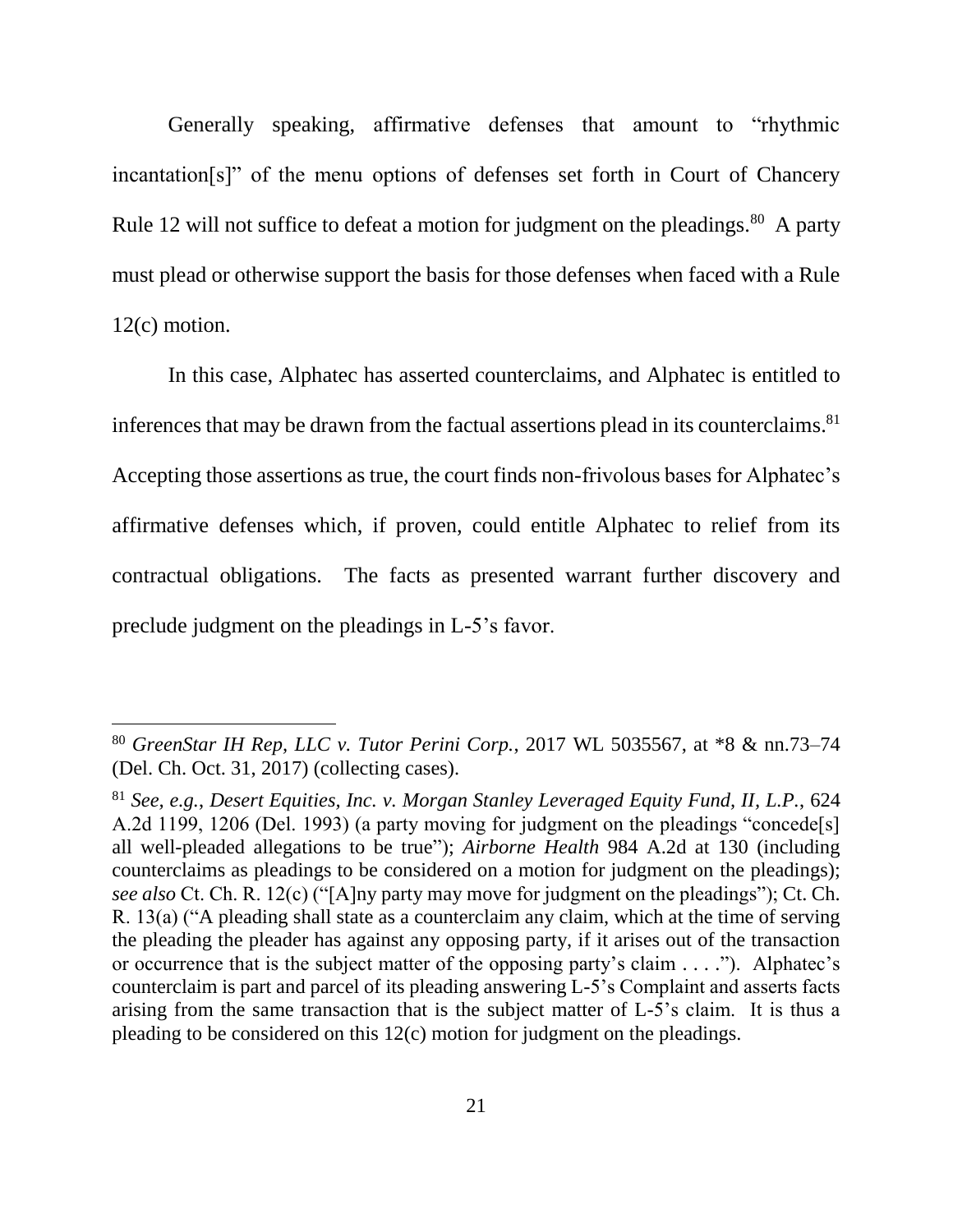Generally speaking, affirmative defenses that amount to "rhythmic incantation[s]" of the menu options of defenses set forth in Court of Chancery Rule 12 will not suffice to defeat a motion for judgment on the pleadings.<sup>80</sup> A party must plead or otherwise support the basis for those defenses when faced with a Rule 12(c) motion.

In this case, Alphatec has asserted counterclaims, and Alphatec is entitled to inferences that may be drawn from the factual assertions plead in its counterclaims. 81 Accepting those assertions as true, the court finds non-frivolous bases for Alphatec's affirmative defenses which, if proven, could entitle Alphatec to relief from its contractual obligations. The facts as presented warrant further discovery and preclude judgment on the pleadings in L-5's favor.

<sup>80</sup> *GreenStar IH Rep, LLC v. Tutor Perini Corp.*, 2017 WL 5035567, at \*8 & nn.73–74 (Del. Ch. Oct. 31, 2017) (collecting cases).

<sup>81</sup> *See, e.g.*, *Desert Equities, Inc. v. Morgan Stanley Leveraged Equity Fund, II, L.P.*, 624 A.2d 1199, 1206 (Del. 1993) (a party moving for judgment on the pleadings "concede[s] all well-pleaded allegations to be true"); *Airborne Health* 984 A.2d at 130 (including counterclaims as pleadings to be considered on a motion for judgment on the pleadings); *see also* Ct. Ch. R. 12(c) ("[A]ny party may move for judgment on the pleadings"); Ct. Ch. R. 13(a) ("A pleading shall state as a counterclaim any claim, which at the time of serving the pleading the pleader has against any opposing party, if it arises out of the transaction or occurrence that is the subject matter of the opposing party's claim . . . ."). Alphatec's counterclaim is part and parcel of its pleading answering L-5's Complaint and asserts facts arising from the same transaction that is the subject matter of L-5's claim. It is thus a pleading to be considered on this 12(c) motion for judgment on the pleadings.